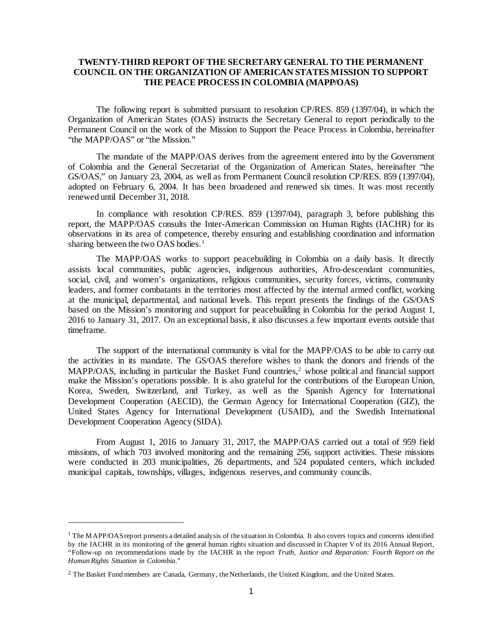# **TWENTY-THIRD REPORT OF THE SECRETARY GENERAL TO THE PERMANENT COUNCIL ON THE ORGANIZATION OF AMERICAN STATES MISSION TO SUPPORT THE PEACE PROCESS IN COLOMBIA (MAPP/OAS)**

The following report is submitted pursuant to resolution CP/RES. 859 (1397/04), in which the Organization of American States (OAS) instructs the Secretary General to report periodically to the Permanent Council on the work of the Mission to Support the Peace Process in Colombia, hereinafter "the MAPP/OAS" or "the Mission."

The mandate of the MAPP/OAS derives from the agreement entered into by the Government of Colombia and the General Secretariat of the Organization of American States, hereinafter "the GS/OAS," on January 23, 2004, as well as from Permanent Council resolution CP/RES. 859 (1397/04), adopted on February 6, 2004. It has been broadened and renewed six times. It was most recently renewed until December 31, 2018.

In compliance with resolution CP/RES. 859 (1397/04), paragraph 3, before publishing this report, the MAPP/OAS consults the Inter-American Commission on Human Rights (IACHR) for its observations in its area of competence, thereby ensuring and establishing coordination and information sharing between the two OAS bodies.<sup>[1](#page-0-0)</sup>

The MAPP/OAS works to support peacebuilding in Colombia on a daily basis. It directly assists local communities, public agencies, indigenous authorities, Afro-descendant communities, social, civil, and women's organizations, religious communities, security forces, victims, community leaders, and former combatants in the territories most affected by the internal armed conflict, working at the municipal, departmental, and national levels. This report presents the findings of the GS/OAS based on the Mission's monitoring and support for peacebuilding in Colombia for the period August 1, 2016 to January 31, 2017. On an exceptional basis, it also discusses a few important events outside that timeframe.

The support of the international community is vital for the MAPP/OAS to be able to carry out the activities in its mandate. The GS/OAS therefore wishes to thank the donors and friends of the MAPP/OAS, including in particular the Basket Fund countries, [2](#page-0-1) whose political and financial support make the Mission's operations possible. It is also grateful for the contributions of the European Union, Korea, Sweden, Switzerland, and Turkey, as well as the Spanish Agency for International Development Cooperation (AECID), the German Agency for International Cooperation (GIZ), the United States Agency for International Development (USAID), and the Swedish International Development Cooperation Agency (SIDA).

From August 1, 2016 to January 31, 2017, the MAPP/OAS carried out a total of 959 field missions, of which 703 involved monitoring and the remaining 256, support activities. These missions were conducted in 203 municipalities, 26 departments, and 524 populated centers, which included municipal capitals, townships, villages, indigenous reserves, and community councils.

<span id="page-0-0"></span> $1$  The MAPP/OAS report presents a detailed analysis of the situation in Colombia. It also covers topics and concerns identified by the IACHR in its monitoring of the general human rights situation and discussed in Chapter V of its 2016 Annual Report, "Follow-up on recommendations made by the IACHR in the report *Truth, Justice and Reparation: Fourth Report on the Human Rights Situation in Colombia*."

<span id="page-0-1"></span><sup>&</sup>lt;sup>2</sup> The Basket Fund members are Canada, Germany, the Netherlands, the United Kingdom, and the United States.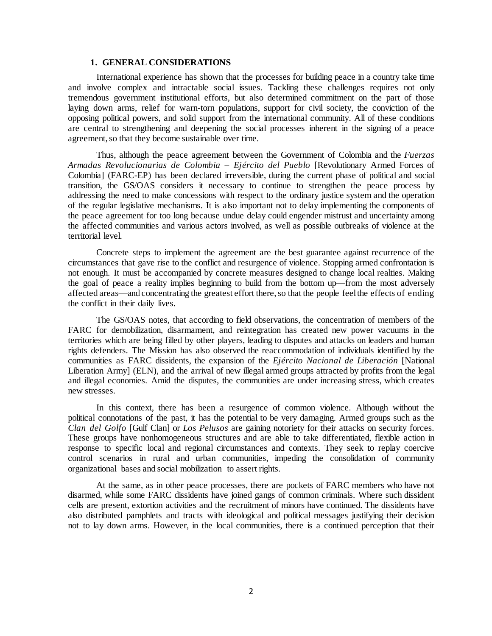### **1. GENERAL CONSIDERATIONS**

International experience has shown that the processes for building peace in a country take time and involve complex and intractable social issues. Tackling these challenges requires not only tremendous government institutional efforts, but also determined commitment on the part of those laying down arms, relief for warn-torn populations, support for civil society, the conviction of the opposing political powers, and solid support from the international community. All of these conditions are central to strengthening and deepening the social processes inherent in the signing of a peace agreement, so that they become sustainable over time.

Thus, although the peace agreement between the Government of Colombia and the *Fuerzas Armadas Revolucionarias de Colombia – Ejército del Pueblo* [Revolutionary Armed Forces of Colombia] (FARC-EP) has been declared irreversible, during the current phase of political and social transition, the GS/OAS considers it necessary to continue to strengthen the peace process by addressing the need to make concessions with respect to the ordinary justice system and the operation of the regular legislative mechanisms. It is also important not to delay implementing the components of the peace agreement for too long because undue delay could engender mistrust and uncertainty among the affected communities and various actors involved, as well as possible outbreaks of violence at the territorial level.

Concrete steps to implement the agreement are the best guarantee against recurrence of the circumstances that gave rise to the conflict and resurgence of violence. Stopping armed confrontation is not enough. It must be accompanied by concrete measures designed to change local realties. Making the goal of peace a reality implies beginning to build from the bottom up—from the most adversely affected areas—and concentrating the greatest effort there, so that the people feel the effects of ending the conflict in their daily lives.

The GS/OAS notes, that according to field observations, the concentration of members of the FARC for demobilization, disarmament, and reintegration has created new power vacuums in the territories which are being filled by other players, leading to disputes and attacks on leaders and human rights defenders. The Mission has also observed the reaccommodation of individuals identified by the communities as FARC dissidents, the expansion of the *Ejército Nacional de Liberación* [National Liberation Army] (ELN), and the arrival of new illegal armed groups attracted by profits from the legal and illegal economies. Amid the disputes, the communities are under increasing stress, which creates new stresses.

In this context, there has been a resurgence of common violence. Although without the political connotations of the past, it has the potential to be very damaging. Armed groups such as the *Clan del Golfo* [Gulf Clan] or *Los Pelusos* are gaining notoriety for their attacks on security forces. These groups have nonhomogeneous structures and are able to take differentiated, flexible action in response to specific local and regional circumstances and contexts. They seek to replay coercive control scenarios in rural and urban communities, impeding the consolidation of community organizational bases and social mobilization to assert rights.

At the same, as in other peace processes, there are pockets of FARC members who have not disarmed, while some FARC dissidents have joined gangs of common criminals. Where such dissident cells are present, extortion activities and the recruitment of minors have continued. The dissidents have also distributed pamphlets and tracts with ideological and political messages justifying their decision not to lay down arms. However, in the local communities, there is a continued perception that their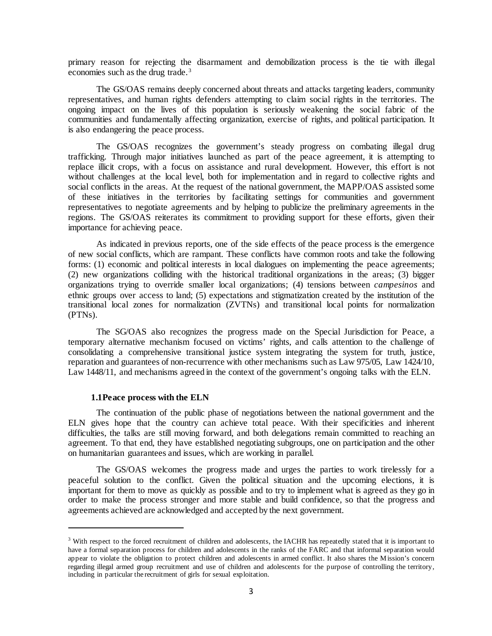primary reason for rejecting the disarmament and demobilization process is the tie with illegal economies such as the drug trade. [3](#page-2-0)

The GS/OAS remains deeply concerned about threats and attacks targeting leaders, community representatives, and human rights defenders attempting to claim social rights in the territories. The ongoing impact on the lives of this population is seriously weakening the social fabric of the communities and fundamentally affecting organization, exercise of rights, and political participation. It is also endangering the peace process.

The GS/OAS recognizes the government's steady progress on combating illegal drug trafficking. Through major initiatives launched as part of the peace agreement, it is attempting to replace illicit crops, with a focus on assistance and rural development. However, this effort is not without challenges at the local level, both for implementation and in regard to collective rights and social conflicts in the areas. At the request of the national government, the MAPP/OAS assisted some of these initiatives in the territories by facilitating settings for communities and government representatives to negotiate agreements and by helping to publicize the preliminary agreements in the regions. The GS/OAS reiterates its commitment to providing support for these efforts, given their importance for achieving peace.

As indicated in previous reports, one of the side effects of the peace process is the emergence of new social conflicts, which are rampant. These conflicts have common roots and take the following forms: (1) economic and political interests in local dialogues on implementing the peace agreements; (2) new organizations colliding with the historical traditional organizations in the areas; (3) bigger organizations trying to override smaller local organizations; (4) tensions between *campesinos* and ethnic groups over access to land; (5) expectations and stigmatization created by the institution of the transitional local zones for normalization (ZVTNs) and transitional local points for normalization (PTNs).

The SG/OAS also recognizes the progress made on the Special Jurisdiction for Peace, a temporary alternative mechanism focused on victims' rights, and calls attention to the challenge of consolidating a comprehensive transitional justice system integrating the system for truth, justice, reparation and guarantees of non-recurrence with other mechanisms such as Law 975/05, Law 1424/10, Law 1448/11, and mechanisms agreed in the context of the government's ongoing talks with the ELN.

# **1.1Peace process with the ELN**

l

The continuation of the public phase of negotiations between the national government and the ELN gives hope that the country can achieve total peace. With their specificities and inherent difficulties, the talks are still moving forward, and both delegations remain committed to reaching an agreement. To that end, they have established negotiating subgroups, one on participation and the other on humanitarian guarantees and issues, which are working in parallel.

The GS/OAS welcomes the progress made and urges the parties to work tirelessly for a peaceful solution to the conflict. Given the political situation and the upcoming elections, it is important for them to move as quickly as possible and to try to implement what is agreed as they go in order to make the process stronger and more stable and build confidence, so that the progress and agreements achieved are acknowledged and accepted by the next government.

<span id="page-2-0"></span><sup>&</sup>lt;sup>3</sup> With respect to the forced recruitment of children and adolescents, the IACHR has repeatedly stated that it is important to have a formal separation process for children and adolescents in the ranks of the FARC and that informal separation would appear to violate the obligation to protect children and adolescents in armed conflict. It also shares the Mission's concern regarding illegal armed group recruitment and use of children and adolescents for the purpose of controlling the territory, including in particular the recruitment of girls for sexual exploitation.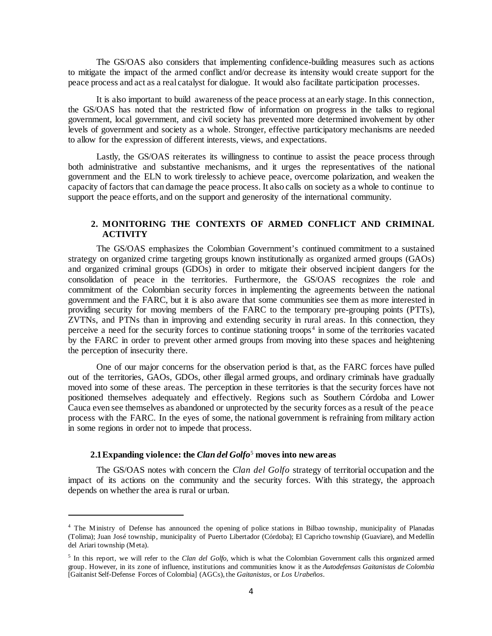The GS/OAS also considers that implementing confidence-building measures such as actions to mitigate the impact of the armed conflict and/or decrease its intensity would create support for the peace process and act as a real catalyst for dialogue. It would also facilitate participation processes.

It is also important to build awareness of the peace process at an early stage. In this connection, the GS/OAS has noted that the restricted flow of information on progress in the talks to regional government, local government, and civil society has prevented more determined involvement by other levels of government and society as a whole. Stronger, effective participatory mechanisms are needed to allow for the expression of different interests, views, and expectations.

Lastly, the GS/OAS reiterates its willingness to continue to assist the peace process through both administrative and substantive mechanisms, and it urges the representatives of the national government and the ELN to work tirelessly to achieve peace, overcome polarization, and weaken the capacity of factors that can damage the peace process. It also calls on society as a whole to continue to support the peace efforts, and on the support and generosity of the international community.

# **2. MONITORING THE CONTEXTS OF ARMED CONFLICT AND CRIMINAL ACTIVITY**

The GS/OAS emphasizes the Colombian Government's continued commitment to a sustained strategy on organized crime targeting groups known institutionally as organized armed groups (GAOs) and organized criminal groups (GDOs) in order to mitigate their observed incipient dangers for the consolidation of peace in the territories. Furthermore, the GS/OAS recognizes the role and commitment of the Colombian security forces in implementing the agreements between the national government and the FARC, but it is also aware that some communities see them as more interested in providing security for moving members of the FARC to the temporary pre-grouping points (PTTs), ZVTNs, and PTNs than in improving and extending security in rural areas. In this connection, they perceive a need for the security forces to continue stationing troops<sup>[4](#page-3-0)</sup> in some of the territories vacated by the FARC in order to prevent other armed groups from moving into these spaces and heightening the perception of insecurity there.

One of our major concerns for the observation period is that, as the FARC forces have pulled out of the territories, GAOs, GDOs, other illegal armed groups, and ordinary criminals have gradually moved into some of these areas. The perception in these territories is that the security forces have not positioned themselves adequately and effectively. Regions such as Southern Córdoba and Lower Cauca even see themselves as abandoned or unprotected by the security forces as a result of the peace process with the FARC. In the eyes of some, the national government is refraining from military action in some regions in order not to impede that process.

## **2.1Expanding violence: the** *Clan del Golfo*[5](#page-3-1) **moves into new areas**

l

The GS/OAS notes with concern the *Clan del Golfo* strategy of territorial occupation and the impact of its actions on the community and the security forces. With this strategy, the approach depends on whether the area is rural or urban.

<span id="page-3-0"></span><sup>4</sup> The Ministry of Defense has announced the opening of police stations in Bilbao township, municipality of Planadas (Tolima); Juan José township, municipality of Puerto Libertador (Córdoba); El Capricho township (Guaviare), and Medellín del Ariari township (Meta).

<span id="page-3-1"></span><sup>5</sup> In this report, we will refer to the *Clan del Golfo*, which is what the Colombian Government calls this organized armed group. However, in its zone of influence, institutions and communities know it as the *Autodefensas Gaitanistas de Colombia* [Gaitanist Self-Defense Forces of Colombia] (AGCs), the *Gaitanistas*, or *Los Urabeños*.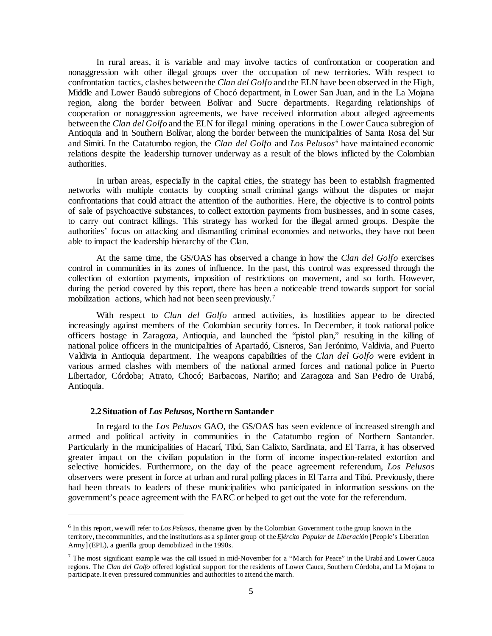In rural areas, it is variable and may involve tactics of confrontation or cooperation and nonaggression with other illegal groups over the occupation of new territories. With respect to confrontation tactics, clashes between the *Clan del Golfo* and the ELN have been observed in the High, Middle and Lower Baudó subregions of Chocó department, in Lower San Juan, and in the La Mojana region, along the border between Bolívar and Sucre departments. Regarding relationships of cooperation or nonaggression agreements, we have received information about alleged agreements between the *Clan del Golfo* and the ELN for illegal mining operations in the Lower Cauca subregion of Antioquia and in Southern Bolívar, along the border between the municipalities of Santa Rosa del Sur and Simití. In the Catatumbo region, the *Clan del Golfo* and *Los Pelusos* [6](#page-4-0) have maintained economic relations despite the leadership turnover underway as a result of the blows inflicted by the Colombian authorities.

In urban areas, especially in the capital cities, the strategy has been to establish fragmented networks with multiple contacts by coopting small criminal gangs without the disputes or major confrontations that could attract the attention of the authorities. Here, the objective is to control points of sale of psychoactive substances, to collect extortion payments from businesses, and in some cases, to carry out contract killings. This strategy has worked for the illegal armed groups. Despite the authorities' focus on attacking and dismantling criminal economies and networks, they have not been able to impact the leadership hierarchy of the Clan.

At the same time, the GS/OAS has observed a change in how the *Clan del Golfo* exercises control in communities in its zones of influence. In the past, this control was expressed through the collection of extortion payments, imposition of restrictions on movement, and so forth. However, during the period covered by this report, there has been a noticeable trend towards support for social mobilization actions, which had not been seen previously.<sup>[7](#page-4-1)</sup>

With respect to *Clan del Golfo* armed activities, its hostilities appear to be directed increasingly against members of the Colombian security forces. In December, it took national police officers hostage in Zaragoza, Antioquia, and launched the "pistol plan," resulting in the killing of national police officers in the municipalities of Apartadó, Cisneros, San Jerónimo, Valdivia, and Puerto Valdivia in Antioquia department. The weapons capabilities of the *Clan del Golfo* were evident in various armed clashes with members of the national armed forces and national police in Puerto Libertador, Córdoba; Atrato, Chocó; Barbacoas, Nariño; and Zaragoza and San Pedro de Urabá, Antioquia.

#### **2.2Situation of** *Los Pelusos***, Northern Santander**

l

In regard to the *Los Pelusos* GAO, the GS/OAS has seen evidence of increased strength and armed and political activity in communities in the Catatumbo region of Northern Santander. Particularly in the municipalities of Hacarí, Tibú, San Calixto, Sardinata, and El Tarra, it has observed greater impact on the civilian population in the form of income inspection-related extortion and selective homicides. Furthermore, on the day of the peace agreement referendum, *Los Pelusos* observers were present in force at urban and rural polling places in El Tarra and Tibú. Previously, there had been threats to leaders of these municipalities who participated in information sessions on the government's peace agreement with the FARC or helped to get out the vote for the referendum.

<span id="page-4-0"></span><sup>6</sup> In this report, we will refer to *Los Pelusos*, the name given by the Colombian Government to the group known in the territory, the communities, and the institutions as a splinter group of the *Ejército Popular de Liberación* [People's Liberation Army] (EPL), a guerilla group demobilized in the 1990s.

<span id="page-4-1"></span> $7$  The most significant example was the call issued in mid-November for a "March for Peace" in the Urabá and Lower Cauca regions. The *Clan del Golfo* offered logistical support for the residents of Lower Cauca, Southern Córdoba, and La Mojana to participate. It even pressured communities and authorities to attend the march.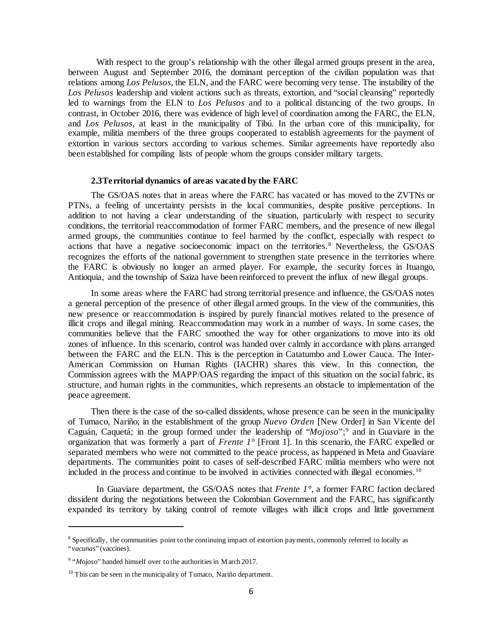With respect to the group's relationship with the other illegal armed groups present in the area, between August and September 2016, the dominant perception of the civilian population was that relations among *Los Pelusos*, the ELN, and the FARC were becoming very tense. The instability of the *Los Pelusos* leadership and violent actions such as threats, extortion, and "social cleansing" reportedly led to warnings from the ELN to *Los Pelusos* and to a political distancing of the two groups. In contrast, in October 2016, there was evidence of high level of coordination among the FARC, the ELN, and *Los Pelusos*, at least in the municipality of Tibú. In the urban core of this municipality, for example, militia members of the three groups cooperated to establish agreements for the payment of extortion in various sectors according to various schemes. Similar agreements have reportedly also been established for compiling lists of people whom the groups consider military targets.

### **2.3Territorial dynamics of areas vacated by the FARC**

The GS/OAS notes that in areas where the FARC has vacated or has moved to the ZVTNs or PTNs, a feeling of uncertainty persists in the local communities, despite positive perceptions. In addition to not having a clear understanding of the situation, particularly with respect to security conditions, the territorial reaccommodation of former FARC members, and the presence of new illegal armed groups, the communities continue to feel harmed by the conflict, especially with respect to actions that have a negative socioeconomic impact on the territories. [8](#page-5-0) Nevertheless, the GS/OAS recognizes the efforts of the national government to strengthen state presence in the territories where the FARC is obviously no longer an armed player. For example, the security forces in Ituango, Antioquia, and the township of Saiza have been reinforced to prevent the influx of new illegal groups.

In some areas where the FARC had strong territorial presence and influence, the GS/OAS notes a general perception of the presence of other illegal armed groups. In the view of the communities, this new presence or reaccommodation is inspired by purely financial motives related to the presence of illicit crops and illegal mining. Reaccommodation may work in a number of ways. In some cases, the communities believe that the FARC smoothed the way for other organizations to move into its old zones of influence. In this scenario, control was handed over calmly in accordance with plans arranged between the FARC and the ELN. This is the perception in Catatumbo and Lower Cauca. The Inter-American Commission on Human Rights (IACHR) shares this view. In this connection, the Commission agrees with the MAPP/OAS regarding the impact of this situation on the social fabric, its structure, and human rights in the communities, which represents an obstacle to implementation of the peace agreement.

Then there is the case of the so-called dissidents, whose presence can be seen in the municipality of Tumaco, Nariño; in the establishment of the group *Nuevo Orden* [New Order] in San Vicente del Caguán, Caquetá; in the group formed under the leadership of "*Mojoso*";[9](#page-5-1) and in Guaviare in the organization that was formerly a part of *Frente 1°* [Front 1]. In this scenario, the FARC expelled or separated members who were not committed to the peace process, as happened in Meta and Guaviare departments. The communities point to cases of self-described FARC militia members who were not included in the process and continue to be involved in activities connected with illegal economies.<sup>[10](#page-5-2)</sup>

In Guaviare department, the GS/OAS notes that *Frente 1°*, a former FARC faction declared dissident during the negotiations between the Colombian Government and the FARC, has significantly expanded its territory by taking control of remote villages with illicit crops and little government

<span id="page-5-0"></span><sup>8</sup> Specifically, the communities point to the continuing impact of extortion payments, commonly referred to locally as "*vacunas*" (vaccines).

<span id="page-5-1"></span><sup>9</sup> "*Mojoso*" handed himself over to the authorities in March 2017.

<span id="page-5-2"></span> $10$  This can be seen in the municipality of Tumaco, Nariño department.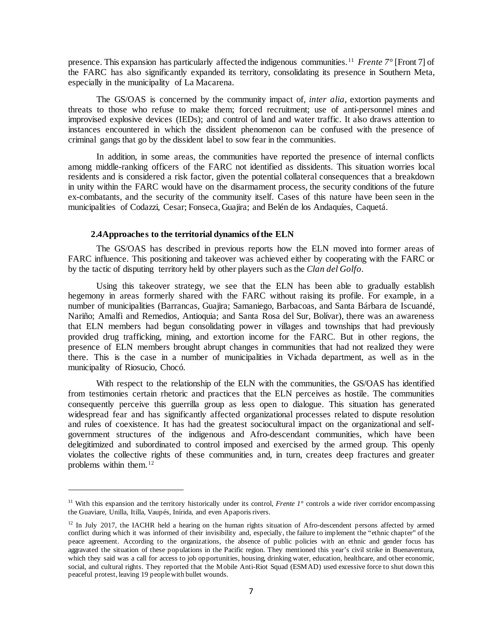presence. This expansion has particularly affected the indigenous communities. [11](#page-6-0) *Frente 7°* [Front 7] of the FARC has also significantly expanded its territory, consolidating its presence in Southern Meta, especially in the municipality of La Macarena.

The GS/OAS is concerned by the community impact of, *inter alia*, extortion payments and threats to those who refuse to make them; forced recruitment; use of anti-personnel mines and improvised explosive devices (IEDs); and control of land and water traffic. It also draws attention to instances encountered in which the dissident phenomenon can be confused with the presence of criminal gangs that go by the dissident label to sow fear in the communities.

In addition, in some areas, the communities have reported the presence of internal conflicts among middle-ranking officers of the FARC not identified as dissidents. This situation worries local residents and is considered a risk factor, given the potential collateral consequences that a breakdown in unity within the FARC would have on the disarmament process, the security conditions of the future ex-combatants, and the security of the community itself. Cases of this nature have been seen in the municipalities of Codazzi, Cesar; Fonseca, Guajira; and Belén de los Andaquíes, Caquetá.

## **2.4Approaches to the territorial dynamics of the ELN**

l

The GS/OAS has described in previous reports how the ELN moved into former areas of FARC influence. This positioning and takeover was achieved either by cooperating with the FARC or by the tactic of disputing territory held by other players such as the *Clan del Golfo*.

Using this takeover strategy, we see that the ELN has been able to gradually establish hegemony in areas formerly shared with the FARC without raising its profile. For example, in a number of municipalities (Barrancas, Guajira; Samaniego, Barbacoas, and Santa Bárbara de Iscuandé, Nariño; Amalfi and Remedios, Antioquia; and Santa Rosa del Sur, Bolívar), there was an awareness that ELN members had begun consolidating power in villages and township*s* that had previously provided drug trafficking, mining, and extortion income for the FARC. But in other regions, the presence of ELN members brought abrupt changes in communities that had not realized they were there. This is the case in a number of municipalities in Vichada department, as well as in the municipality of Riosucio, Chocó.

With respect to the relationship of the ELN with the communities, the GS/OAS has identified from testimonies certain rhetoric and practices that the ELN perceives as hostile. The communities consequently perceive this guerrilla group as less open to dialogue. This situation has generated widespread fear and has significantly affected organizational processes related to dispute resolution and rules of coexistence. It has had the greatest sociocultural impact on the organizational and selfgovernment structures of the indigenous and Afro-descendant communities, which have been delegitimized and subordinated to control imposed and exercised by the armed group. This openly violates the collective rights of these communities and, in turn, creates deep fractures and greater problems within them. [12](#page-6-1)

<span id="page-6-0"></span><sup>&</sup>lt;sup>11</sup> With this expansion and the territory historically under its control, *Frente 1<sup>°</sup>* controls a wide river corridor encompassing the Guaviare, Unilla, Itilla, Vaupés, Inírida, and even Apaporis rivers.

<span id="page-6-1"></span> $12$  In July 2017, the IACHR held a hearing on the human rights situation of Afro-descendent persons affected by armed conflict during which it was informed of their invisibility and, especially, the failure to implement the "ethnic chapter" of the peace agreement. According to the organizations, the absence of public policies with an ethnic and gender focus has aggravated the situation of these populations in the Pacific region. They mentioned this year's civil strike in Buenaventura, which they said was a call for access to job opportunities, housing, drinking water, education, healthcare, and other economic, social, and cultural rights. They reported that the Mobile Anti-Riot Squad (ESMAD) used excessive force to shut down this peaceful protest, leaving 19 people with bullet wounds.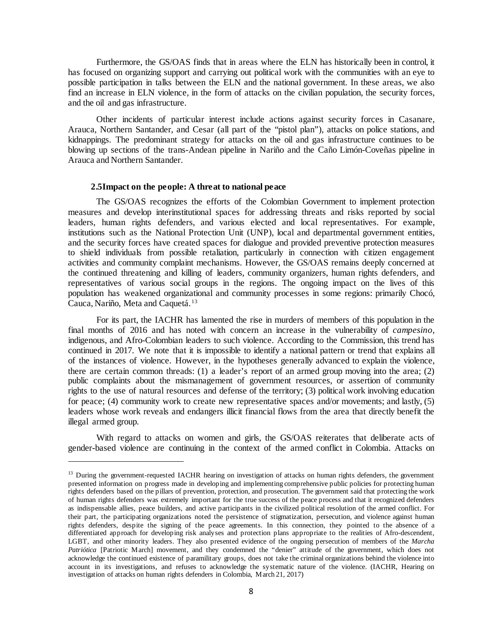Furthermore, the GS/OAS finds that in areas where the ELN has historically been in control, it has focused on organizing support and carrying out political work with the communities with an eye to possible participation in talks between the ELN and the national government. In these areas, we also find an increase in ELN violence, in the form of attacks on the civilian population, the security forces, and the oil and gas infrastructure.

Other incidents of particular interest include actions against security forces in Casanare, Arauca, Northern Santander, and Cesar (all part of the "pistol plan"), attacks on police stations, and kidnappings. The predominant strategy for attacks on the oil and gas infrastructure continues to be blowing up sections of the trans-Andean pipeline in Nariño and the Caño Limón-Coveñas pipeline in Arauca and Northern Santander.

### **2.5Impact on the people: A threat to national peace**

l

The GS/OAS recognizes the efforts of the Colombian Government to implement protection measures and develop interinstitutional spaces for addressing threats and risks reported by social leaders, human rights defenders, and various elected and local representatives. For example, institutions such as the National Protection Unit (UNP), local and departmental government entities, and the security forces have created spaces for dialogue and provided preventive protection measures to shield individuals from possible retaliation, particularly in connection with citizen engagement activities and community complaint mechanisms. However, the GS/OAS remains deeply concerned at the continued threatening and killing of leaders, community organizers, human rights defenders, and representatives of various social groups in the regions. The ongoing impact on the lives of this population has weakened organizational and community processes in some regions: primarily Chocó, Cauca, Nariño, Meta and Caquetá. [13](#page-7-0)

For its part, the IACHR has lamented the rise in murders of members of this population in the final months of 2016 and has noted with concern an increase in the vulnerability of *campesino*, indigenous, and Afro-Colombian leaders to such violence. According to the Commission, this trend has continued in 2017. We note that it is impossible to identify a national pattern or trend that explains all of the instances of violence. However, in the hypotheses generally advanced to explain the violence, there are certain common threads: (1) a leader's report of an armed group moving into the area; (2) public complaints about the mismanagement of government resources, or assertion of community rights to the use of natural resources and defense of the territory; (3) political work involving education for peace; (4) community work to create new representative spaces and/or movements; and lastly, (5) leaders whose work reveals and endangers illicit financial flows from the area that directly benefit the illegal armed group.

With regard to attacks on women and girls, the GS/OAS reiterates that deliberate acts of gender-based violence are continuing in the context of the armed conflict in Colombia. Attacks on

<span id="page-7-0"></span> $13$  During the government-requested IACHR hearing on investigation of attacks on human rights defenders, the government presented information on progress made in developing and implementing comprehensive public policies for protecting human rights defenders based on the pillars of prevention, protection, and prosecution. The government said that protecting the work of human rights defenders was extremely important for the true success of the peace process and that it recognized defenders as indispensable allies, peace builders, and active participants in the civilized political resolution of the armed conflict. For their part, the participating organizations noted the persistence of stigmatization, persecution, and violence against human rights defenders, despite the signing of the peace agreements. In this connection, they pointed to the absence of a differentiated approach for developing risk analyses and protection plans appropriate to the realities of Afro-descendent, LGBT, and other minority leaders. They also presented evidence of the ongoing persecution of members of the *Marcha Patriótica* [Patriotic March] movement, and they condemned the "denier" attitude of the government, which does not acknowledge the continued existence of paramilitary groups, does not take the criminal organizations behind the violence into account in its investigations, and refuses to acknowledge the systematic nature of the violence. (IACHR, Hearing on investigation of attacks on human rights defenders in Colombia, March 21, 2017)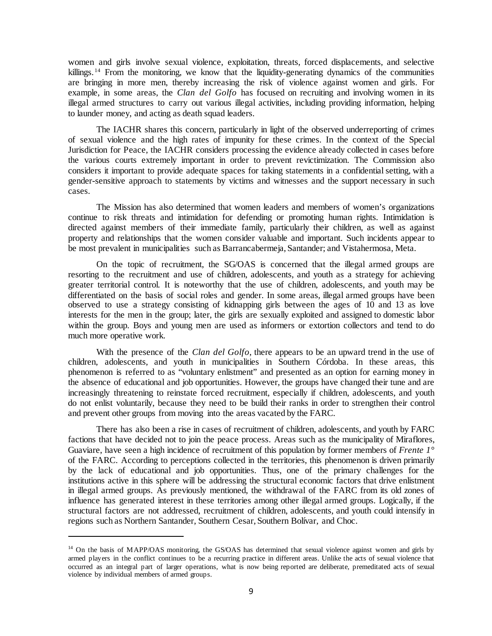women and girls involve sexual violence, exploitation, threats, forced displacements, and selective killings.<sup>[14](#page-8-0)</sup> From the monitoring, we know that the liquidity-generating dynamics of the communities are bringing in more men, thereby increasing the risk of violence against women and girls. For example, in some areas, the *Clan del Golfo* has focused on recruiting and involving women in its illegal armed structures to carry out various illegal activities, including providing information, helping to launder money, and acting as death squad leaders.

The IACHR shares this concern, particularly in light of the observed underreporting of crimes of sexual violence and the high rates of impunity for these crimes. In the context of the Special Jurisdiction for Peace, the IACHR considers processing the evidence already collected in cases before the various courts extremely important in order to prevent revictimization. The Commission also considers it important to provide adequate spaces for taking statements in a confidential setting, with a gender-sensitive approach to statements by victims and witnesses and the support necessary in such cases.

The Mission has also determined that women leaders and members of women's organizations continue to risk threats and intimidation for defending or promoting human rights. Intimidation is directed against members of their immediate family, particularly their children, as well as against property and relationships that the women consider valuable and important. Such incidents appear to be most prevalent in municipalities such as Barrancabermeja, Santander; and Vistahermosa, Meta.

On the topic of recruitment, the SG/OAS is concerned that the illegal armed groups are resorting to the recruitment and use of children, adolescents, and youth as a strategy for achieving greater territorial control. It is noteworthy that the use of children, adolescents, and youth may be differentiated on the basis of social roles and gender. In some areas, illegal armed groups have been observed to use a strategy consisting of kidnapping girls between the ages of 10 and 13 as love interests for the men in the group; later, the girls are sexually exploited and assigned to domestic labor within the group. Boys and young men are used as informers or extortion collectors and tend to do much more operative work.

With the presence of the *Clan del Golfo*, there appears to be an upward trend in the use of children, adolescents, and youth in municipalities in Southern Córdoba. In these areas, this phenomenon is referred to as "voluntary enlistment" and presented as an option for earning money in the absence of educational and job opportunities. However, the groups have changed their tune and are increasingly threatening to reinstate forced recruitment, especially if children, adolescents, and youth do not enlist voluntarily, because they need to be build their ranks in order to strengthen their control and prevent other groups from moving into the areas vacated by the FARC.

There has also been a rise in cases of recruitment of children, adolescents, and youth by FARC factions that have decided not to join the peace process. Areas such as the municipality of Miraflores, Guaviare, have seen a high incidence of recruitment of this population by former members of *Frente 1°* of the FARC. According to perceptions collected in the territories, this phenomenon is driven primarily by the lack of educational and job opportunities. Thus, one of the primary challenges for the institutions active in this sphere will be addressing the structural economic factors that drive enlistment in illegal armed groups. As previously mentioned, the withdrawal of the FARC from its old zones of influence has generated interest in these territories among other illegal armed groups. Logically, if the structural factors are not addressed, recruitment of children, adolescents, and youth could intensify in regions such as Northern Santander, Southern Cesar, Southern Bolívar, and Choc.

<span id="page-8-0"></span><sup>&</sup>lt;sup>14</sup> On the basis of MAPP/OAS monitoring, the GS/OAS has determined that sexual violence against women and girls by armed players in the conflict continues to be a recurring practice in different areas. Unlike the acts of sexual violence that occurred as an integral part of larger operations, what is now being reported are deliberate, premeditated acts of sexual violence by individual members of armed groups.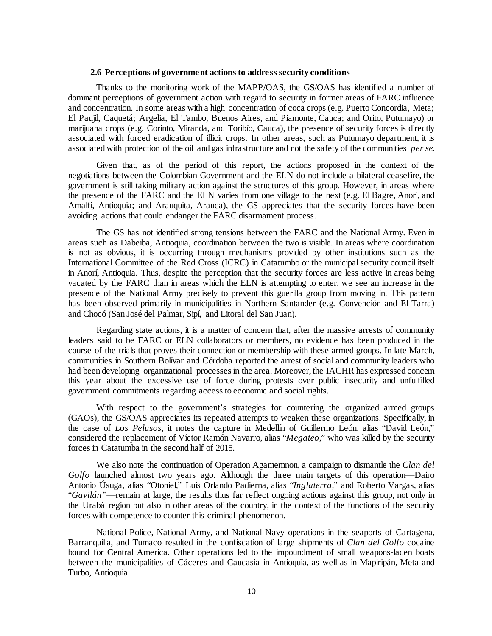### **2.6 Perceptions of government actions to address security conditions**

Thanks to the monitoring work of the MAPP/OAS, the GS/OAS has identified a number of dominant perceptions of government action with regard to security in former areas of FARC influence and concentration. In some areas with a high concentration of coca crops (e.g. Puerto Concordia, Meta; El Paujil, Caquetá; Argelia, El Tambo, Buenos Aires, and Piamonte, Cauca; and Orito, Putumayo) or marijuana crops (e.g. Corinto, Miranda, and Toribío, Cauca), the presence of security forces is directly associated with forced eradication of illicit crops. In other areas, such as Putumayo department, it is associated with protection of the oil and gas infrastructure and not the safety of the communities *per se*.

Given that, as of the period of this report, the actions proposed in the context of the negotiations between the Colombian Government and the ELN do not include a bilateral ceasefire, the government is still taking military action against the structures of this group. However, in areas where the presence of the FARC and the ELN varies from one village to the next (e.g. El Bagre, Anorí, and Amalfi, Antioquia; and Arauquita, Arauca), the GS appreciates that the security forces have been avoiding actions that could endanger the FARC disarmament process.

The GS has not identified strong tensions between the FARC and the National Army. Even in areas such as Dabeiba, Antioquia, coordination between the two is visible. In areas where coordination is not as obvious, it is occurring through mechanisms provided by other institutions such as the International Committee of the Red Cross (ICRC) in Catatumbo or the municipal security council itself in Anorí, Antioquia. Thus, despite the perception that the security forces are less active in areas being vacated by the FARC than in areas which the ELN is attempting to enter, we see an increase in the presence of the National Army precisely to prevent this guerilla group from moving in. This pattern has been observed primarily in municipalities in Northern Santander (e.g*.* Convención and El Tarra) and Chocó (San José del Palmar, Sipí, and Litoral del San Juan).

Regarding state actions, it is a matter of concern that, after the massive arrests of community leaders said to be FARC or ELN collaborators or members, no evidence has been produced in the course of the trials that proves their connection or membership with these armed groups. In late March, communities in Southern Bolívar and Córdoba reported the arrest of social and community leaders who had been developing organizational processes in the area. Moreover, the IACHR has expressed concern this year about the excessive use of force during protests over public insecurity and unfulfilled government commitments regarding access to economic and social rights.

With respect to the government's strategies for countering the organized armed groups (GAOs), the GS/OAS appreciates its repeated attempts to weaken these organizations. Specifically, in the case of *Los Pelusos*, it notes the capture in Medellín of Guillermo León, alias "David León," considered the replacement of Víctor Ramón Navarro, alias "*Megateo*," who was killed by the security forces in Catatumba in the second half of 2015.

We also note the continuation of Operation Agamemnon, a campaign to dismantle the *Clan del Golfo* launched almost two years ago. Although the three main targets of this operation—Dairo Antonio Úsuga, alias "Otoniel," Luis Orlando Padierna, alias "*Inglaterra*," and Roberto Vargas, alias "*Gavilán"*—remain at large, the results thus far reflect ongoing actions against this group, not only in the Urabá region but also in other areas of the country, in the context of the functions of the security forces with competence to counter this criminal phenomenon.

National Police, National Army, and National Navy operations in the seaports of Cartagena, Barranquilla, and Tumaco resulted in the confiscation of large shipments of *Clan del Golfo* cocaine bound for Central America. Other operations led to the impoundment of small weapons-laden boats between the municipalities of Cáceres and Caucasia in Antioquia, as well as in Mapiripán, Meta and Turbo, Antioquia.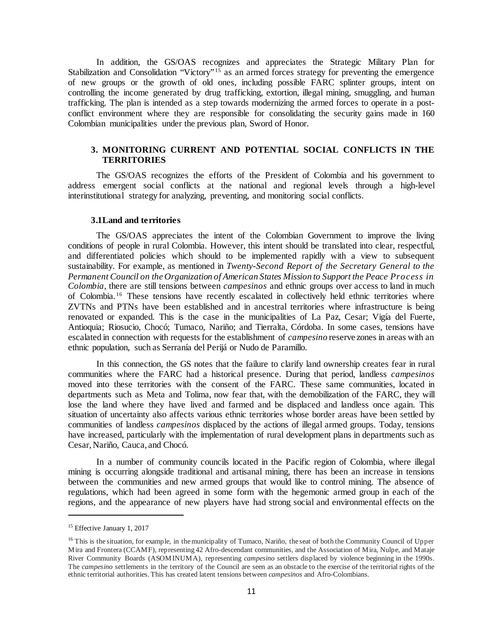In addition, the GS/OAS recognizes and appreciates the Strategic Military Plan for Stabilization and Consolidation "Victory"<sup>[15](#page-10-0)</sup> as an armed forces strategy for preventing the emergence of new groups or the growth of old ones, including possible FARC splinter groups, intent on controlling the income generated by drug trafficking, extortion, illegal mining, smuggling, and human trafficking. The plan is intended as a step towards modernizing the armed forces to operate in a postconflict environment where they are responsible for consolidating the security gains made in 160 Colombian municipalities under the previous plan, Sword of Honor.

# **3. MONITORING CURRENT AND POTENTIAL SOCIAL CONFLICTS IN THE TERRITORIES**

The GS/OAS recognizes the efforts of the President of Colombia and his government to address emergent social conflicts at the national and regional levels through a high-level interinstitutional strategy for analyzing, preventing, and monitoring social conflicts.

## **3.1Land and territories**

The GS/OAS appreciates the intent of the Colombian Government to improve the living conditions of people in rural Colombia. However, this intent should be translated into clear, respectful, and differentiated policies which should to be implemented rapidly with a view to subsequent sustainability. For example, as mentioned in *Twenty-Second Report of the Secretary General to the Permanent Council on the Organization of American States Mission to Support the Peace Process in Colombia*, there are still tensions between *campesinos* and ethnic groups over access to land in much of Colombia. [16](#page-10-1) These tensions have recently escalated in collectively held ethnic territories where ZVTNs and PTNs have been established and in ancestral territories where infrastructure is being renovated or expanded. This is the case in the municipalities of La Paz, Cesar; Vigía del Fuerte, Antioquia; Riosucio, Chocó; Tumaco, Nariño; and Tierralta, Córdoba. In some cases, tensions have escalated in connection with requests for the establishment of *campesino* reserve zones in areas with an ethnic population, such as Serranía del Perijá or Nudo de Paramillo.

In this connection, the GS notes that the failure to clarify land ownership creates fear in rural communities where the FARC had a historical presence. During that period, landless *campesinos* moved into these territories with the consent of the FARC. These same communities, located in departments such as Meta and Tolima, now fear that, with the demobilization of the FARC, they will lose the land where they have lived and farmed and be displaced and landless once again. This situation of uncertainty also affects various ethnic territories whose border areas have been settled by communities of landless *campesinos* displaced by the actions of illegal armed groups. Today, tensions have increased, particularly with the implementation of rural development plans in departments such as Cesar, Nariño, Cauca, and Chocó.

In a number of community councils located in the Pacific region of Colombia, where illegal mining is occurring alongside traditional and artisanal mining, there has been an increase in tensions between the communities and new armed groups that would like to control mining. The absence of regulations, which had been agreed in some form with the hegemonic armed group in each of the regions, and the appearance of new players have had strong social and environmental effects on the

<span id="page-10-0"></span><sup>&</sup>lt;sup>15</sup> Effective January 1, 2017

<span id="page-10-1"></span><sup>&</sup>lt;sup>16</sup> This is the situation, for example, in the municipality of Tumaco, Nariño, the seat of both the Community Council of Upper Mira and Frontera (CCAMF), representing 42 Afro-descendant communities, and the Association of Mira, Nulpe, and Mataje River Community Boards (ASOMINUMA), representing *campesino* settlers displaced by violence beginning in the 1990s. The *campesino* settlements in the territory of the Council are seen as an obstacle to the exercise of the territorial rights of the ethnic territorial authorities. This has created latent tensions between *campesinos* and Afro-Colombians.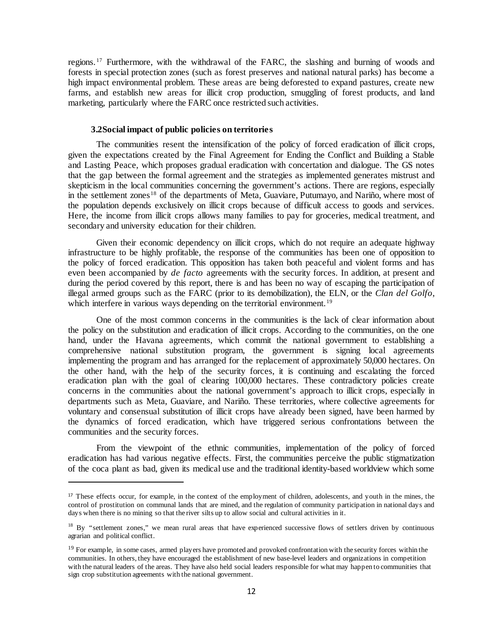regions. [17](#page-11-0) Furthermore, with the withdrawal of the FARC, the slashing and burning of woods and forests in special protection zones (such as forest preserves and national natural parks) has become a high impact environmental problem. These areas are being deforested to expand pastures, create new farms, and establish new areas for illicit crop production, smuggling of forest products, and land marketing, particularly where the FARC once restricted such activities.

#### **3.2Social impact of public policies on territories**

l

The communities resent the intensification of the policy of forced eradication of illicit crops, given the expectations created by the Final Agreement for Ending the Conflict and Building a Stable and Lasting Peace, which proposes gradual eradication with concertation and dialogue. The GS notes that the gap between the formal agreement and the strategies as implemented generates mistrust and skepticism in the local communities concerning the government's actions. There are regions, especially in the settlement zones<sup>[18](#page-11-1)</sup> of the departments of Meta, Guaviare, Putumayo, and Nariño, where most of the population depends exclusively on illicit crops because of difficult access to goods and services. Here, the income from illicit crops allows many families to pay for groceries, medical treatment, and secondary and university education for their children.

Given their economic dependency on illicit crops, which do not require an adequate highway infrastructure to be highly profitable, the response of the communities has been one of opposition to the policy of forced eradication. This opposition has taken both peaceful and violent forms and has even been accompanied by *de facto* agreements with the security forces. In addition, at present and during the period covered by this report, there is and has been no way of escaping the participation of illegal armed groups such as the FARC (prior to its demobilization), the ELN, or the *Clan del Golfo*, which interfere in various ways depending on the territorial environment.<sup>[19](#page-11-2)</sup>

One of the most common concerns in the communities is the lack of clear information about the policy on the substitution and eradication of illicit crops. According to the communities, on the one hand, under the Havana agreements, which commit the national government to establishing a comprehensive national substitution program, the government is signing local agreements implementing the program and has arranged for the replacement of approximately 50,000 hectares. On the other hand, with the help of the security forces, it is continuing and escalating the forced eradication plan with the goal of clearing 100,000 hectares. These contradictory policies create concerns in the communities about the national government's approach to illicit crops, especially in departments such as Meta, Guaviare, and Nariño. These territories, where collective agreements for voluntary and consensual substitution of illicit crops have already been signed, have been harmed by the dynamics of forced eradication, which have triggered serious confrontations between the communities and the security forces.

From the viewpoint of the ethnic communities, implementation of the policy of forced eradication has had various negative effects. First, the communities perceive the public stigmatization of the coca plant as bad, given its medical use and the traditional identity-based worldview which some

<span id="page-11-0"></span><sup>&</sup>lt;sup>17</sup> These effects occur, for example, in the context of the employment of children, adolescents, and youth in the mines, the control of prostitution on communal lands that are mined, and the regulation of community participation in national days and days when there is no mining so that the river silts up to allow social and cultural activities in it.

<span id="page-11-1"></span> $18$  By "settlement zones," we mean rural areas that have experienced successive flows of settlers driven by continuous agrarian and political conflict.

<span id="page-11-2"></span><sup>&</sup>lt;sup>19</sup> For example, in some cases, armed players have promoted and provoked confrontation with the security forces within the communities. In others, they have encouraged the establishment of new base-level leaders and organizations in competition with the natural leaders of the areas. They have also held social leaders responsible for what may happen to communities that sign crop substitution agreements with the national government.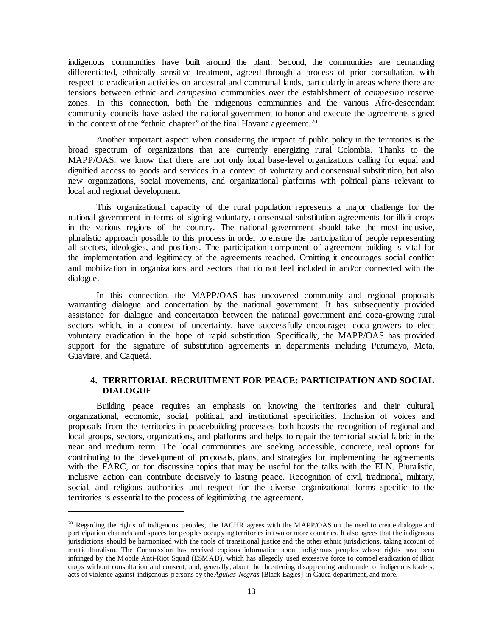indigenous communities have built around the plant. Second, the communities are demanding differentiated, ethnically sensitive treatment, agreed through a process of prior consultation, with respect to eradication activities on ancestral and communal lands, particularly in areas where there are tensions between ethnic and *campesino* communities over the establishment of *campesino* reserve zones. In this connection, both the indigenous communities and the various Afro-descendant community councils have asked the national government to honor and execute the agreements signed in the context of the "ethnic chapter" of the final Havana agreement. [20](#page-12-0)

Another important aspect when considering the impact of public policy in the territories is the broad spectrum of organizations that are currently energizing rural Colombia. Thanks to the MAPP/OAS, we know that there are not only local base-level organizations calling for equal and dignified access to goods and services in a context of voluntary and consensual substitution, but also new organizations, social movements, and organizational platforms with political plans relevant to local and regional development.

This organizational capacity of the rural population represents a major challenge for the national government in terms of signing voluntary, consensual substitution agreements for illicit crops in the various regions of the country. The national government should take the most inclusive, pluralistic approach possible to this process in order to ensure the participation of people representing all sectors, ideologies, and positions. The participation component of agreement-building is vital for the implementation and legitimacy of the agreements reached. Omitting it encourages social conflict and mobilization in organizations and sectors that do not feel included in and/or connected with the dialogue.

In this connection, the MAPP/OAS has uncovered community and regional proposals warranting dialogue and concertation by the national government. It has subsequently provided assistance for dialogue and concertation between the national government and coca-growing rural sectors which, in a context of uncertainty, have successfully encouraged coca-growers to elect voluntary eradication in the hope of rapid substitution. Specifically, the MAPP/OAS has provided support for the signature of substitution agreements in departments including Putumayo, Meta, Guaviare, and Caquetá.

## **4. TERRITORIAL RECRUITMENT FOR PEACE: PARTICIPATION AND SOCIAL DIALOGUE**

Building peace requires an emphasis on knowing the territories and their cultural, organizational, economic, social, political, and institutional specificities. Inclusion of voices and proposals from the territories in peacebuilding processes both boosts the recognition of regional and local groups, sectors, organizations, and platforms and helps to repair the territorial social fabric in the near and medium term. The local communities are seeking accessible, concrete, real options for contributing to the development of proposals, plans, and strategies for implementing the agreements with the FARC, or for discussing topics that may be useful for the talks with the ELN. Pluralistic, inclusive action can contribute decisively to lasting peace. Recognition of civil, traditional, military, social, and religious authorities and respect for the diverse organizational forms specific to the territories is essential to the process of legitimizing the agreement.

<span id="page-12-0"></span><sup>&</sup>lt;sup>20</sup> Regarding the rights of indigenous peoples, the IACHR agrees with the MAPP/OAS on the need to create dialogue and participation channels and spaces for peoples occupying territories in two or more countries. It also agrees that the indigenous jurisdictions should be harmonized with the tools of transitional justice and the other ethnic jurisdictions, taking account of multiculturalism. The Commission has received copious information about indigenous peoples whose rights have been infringed by the Mobile Anti-Riot Squad (ESMAD), which has allegedly used excessive force to compel eradication of illicit crops without consultation and consent; and, generally, about the threatening, disappearing, and murder of indigenous leaders, acts of violence against indigenous persons by the *Águilas Negras* [Black Eagles] in Cauca department, and more.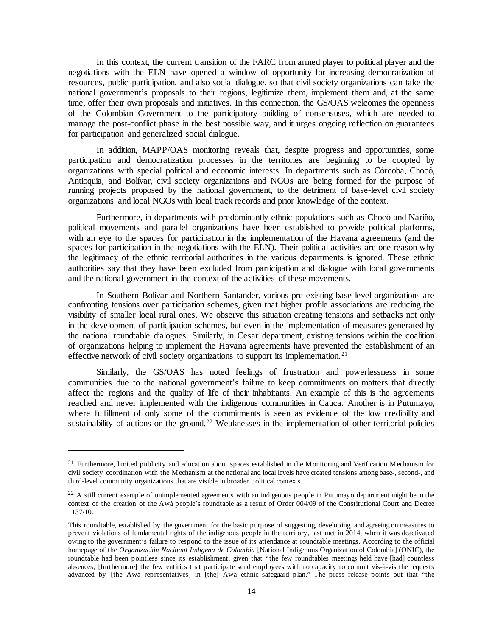In this context, the current transition of the FARC from armed player to political player and the negotiations with the ELN have opened a window of opportunity for increasing democratization of resources, public participation, and also social dialogue, so that civil society organizations can take the national government's proposals to their regions, legitimize them, implement them and, at the same time, offer their own proposals and initiatives. In this connection, the GS/OAS welcomes the openness of the Colombian Government to the participatory building of consensuses, which are needed to manage the post-conflict phase in the best possible way, and it urges ongoing reflection on guarantees for participation and generalized social dialogue.

In addition, MAPP/OAS monitoring reveals that, despite progress and opportunities, some participation and democratization processes in the territories are beginning to be coopted by organizations with special political and economic interests. In departments such as Córdoba, Chocó, Antioquia, and Bolívar, civil society organizations and NGOs are being formed for the purpose of running projects proposed by the national government, to the detriment of base-level civil society organizations and local NGOs with local track records and prior knowledge of the context.

Furthermore, in departments with predominantly ethnic populations such as Chocó and Nariño, political movements and parallel organizations have been established to provide political platforms, with an eye to the spaces for participation in the implementation of the Havana agreements (and the spaces for participation in the negotiations with the ELN). Their political activities are one reason why the legitimacy of the ethnic territorial authorities in the various departments is ignored. These ethnic authorities say that they have been excluded from participation and dialogue with local governments and the national government in the context of the activities of these movements.

In Southern Bolívar and Northern Santander, various pre-existing base-level organizations are confronting tensions over participation schemes, given that higher profile associations are reducing the visibility of smaller local rural ones. We observe this situation creating tensions and setbacks not only in the development of participation schemes, but even in the implementation of measures generated by the national roundtable dialogues. Similarly, in Cesar department, existing tensions within the coalition of organizations helping to implement the Havana agreements have prevented the establishment of an effective network of civil society organizations to support its implementation. [21](#page-13-0)

Similarly, the GS/OAS has noted feelings of frustration and powerlessness in some communities due to the national government's failure to keep commitments on matters that directly affect the regions and the quality of life of their inhabitants. An example of this is the agreements reached and never implemented with the indigenous communities in Cauca. Another is in Putumayo, where fulfillment of only some of the commitments is seen as evidence of the low credibility and sustainability of actions on the ground.<sup>[22](#page-13-1)</sup> Weaknesses in the implementation of other territorial policies

<span id="page-13-0"></span> $21$  Furthermore, limited publicity and education about spaces established in the Monitoring and Verification Mechanism for civil society coordination with the Mechanism at the national and local levels have created tensions among base-, second-, and third-level community organizations that are visible in broader political contexts.

<span id="page-13-1"></span> $22$  A still current example of unimplemented agreements with an indigenous people in Putumayo department might be in the context of the creation of the Awá people's roundtable as a result of Order 004/09 of the Constitutional Court and Decree 1137/10.

This roundtable, established by the government for the basic purpose of suggesting, developing, and agreeing on measures to prevent violations of fundamental rights of the indigenous people in the territory, last met in 2014, when it was deactivated owing to the government's failure to respond to the issue of its attendance at roundtable meetings. According to the official homepage of the *Organización Nacional Indígena de Colombia* [National Indigenous Organization of Colombia] (ONIC), the roundtable had been pointless since its establishment, given that "the few roundtables meetings held have [had] countless absences; [furthermore] the few entities that participate send employees with no capacity to commit vis-à-vis the requests advanced by [the Awá representatives] in [the] Awá ethnic safeguard plan." The press release points out that "the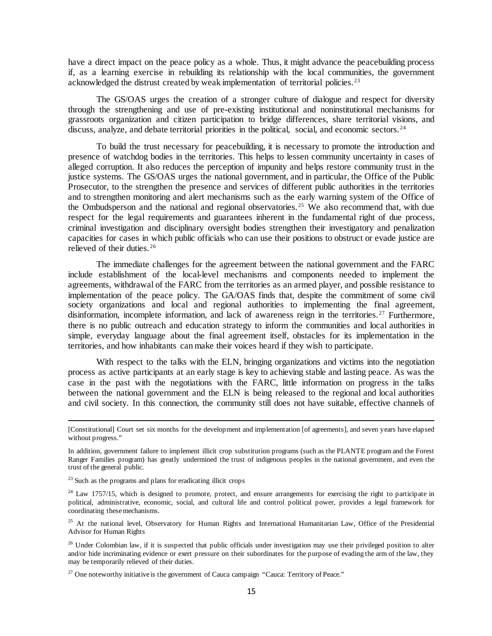have a direct impact on the peace policy as a whole. Thus, it might advance the peacebuilding process if, as a learning exercise in rebuilding its relationship with the local communities, the government acknowledged the distrust created by weak implementation of territorial policies. [23](#page-14-0)

The GS/OAS urges the creation of a stronger culture of dialogue and respect for diversity through the strengthening and use of pre-existing institutional and noninstitutional mechanisms for grassroots organization and citizen participation to bridge differences, share territorial visions, and discuss, analyze, and debate territorial priorities in the political, social, and economic sectors.<sup>[24](#page-14-1)</sup>

To build the trust necessary for peacebuilding, it is necessary to promote the introduction and presence of watchdog bodies in the territories. This helps to lessen community uncertainty in cases of alleged corruption. It also reduces the perception of impunity and helps restore community trust in the justice systems. The GS/OAS urges the national government, and in particular, the Office of the Public Prosecutor, to the strengthen the presence and services of different public authorities in the territories and to strengthen monitoring and alert mechanisms such as the early warning system of the Office of the Ombudsperson and the national and regional observatories. [25](#page-14-2) We also recommend that, with due respect for the legal requirements and guarantees inherent in the fundamental right of due process, criminal investigation and disciplinary oversight bodies strengthen their investigatory and penalization capacities for cases in which public officials who can use their positions to obstruct or evade justice are relieved of their duties. [26](#page-14-3)

The immediate challenges for the agreement between the national government and the FARC include establishment of the local-level mechanisms and components needed to implement the agreements, withdrawal of the FARC from the territories as an armed player, and possible resistance to implementation of the peace policy. The GA/OAS finds that, despite the commitment of some civil society organizations and local and regional authorities to implementing the final agreement, disinformation, incomplete information, and lack of awareness reign in the territories.<sup>[27](#page-14-4)</sup> Furthermore, there is no public outreach and education strategy to inform the communities and local authorities in simple, everyday language about the final agreement itself, obstacles for its implementation in the territories, and how inhabitants can make their voices heard if they wish to participate.

With respect to the talks with the ELN, bringing organizations and victims into the negotiation process as active participants at an early stage is key to achieving stable and lasting peace. As was the case in the past with the negotiations with the FARC, little information on progress in the talks between the national government and the ELN is being released to the regional and local authorities and civil society. In this connection, the community still does not have suitable, effective channels of

<sup>[</sup>Constitutional] Court set six months for the development and implementation [of agreements], and seven years have elapsed without progress."

In addition, government failure to implement illicit crop substitution programs (such as the PLANTE program and the Forest Ranger Families program) has greatly undermined the trust of indigenous peoples in the national government, and even the trust of the general public.

<span id="page-14-0"></span><sup>23</sup> Such as the programs and plans for eradicating illicit crops

<span id="page-14-1"></span> $24$  Law 1757/15, which is designed to promote, protect, and ensure arrangements for exercising the right to participate in political, administrative, economic, social, and cultural life and control political power, provides a legal framework for coordinating these mechanisms.

<span id="page-14-2"></span> $25$  At the national level, Observatory for Human Rights and International Humanitarian Law, Office of the Presidential Advisor for Human Rights

<span id="page-14-3"></span><sup>&</sup>lt;sup>26</sup> Under Colombian law, if it is suspected that public officials under investigation may use their privileged position to alter and/or hide incriminating evidence or exert pressure on their subordinates for the purpose of evading the arm of the law, they may be temporarily relieved of their duties.

<span id="page-14-4"></span> $27$  One noteworthy initiative is the government of Cauca campaign "Cauca: Territory of Peace."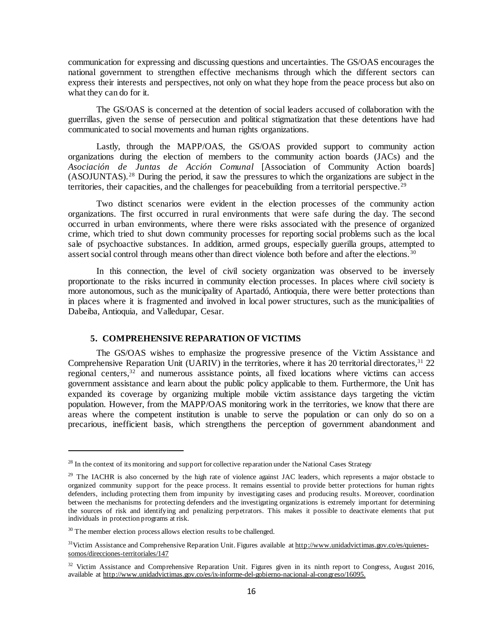communication for expressing and discussing questions and uncertainties. The GS/OAS encourages the national government to strengthen effective mechanisms through which the different sectors can express their interests and perspectives, not only on what they hope from the peace process but also on what they can do for it.

The GS/OAS is concerned at the detention of social leaders accused of collaboration with the guerrillas, given the sense of persecution and political stigmatization that these detentions have had communicated to social movements and human rights organizations.

Lastly, through the MAPP/OAS, the GS/OAS provided support to community action organizations during the election of members to the community action boards (JACs) and the *Asociación de Juntas de Acción Comunal* [Association of Community Action boards] (ASOJUNTAS). [28](#page-15-0) During the period, it saw the pressures to which the organizations are subject in the territories, their capacities, and the challenges for peacebuilding from a territorial perspective.[29](#page-15-1)

Two distinct scenarios were evident in the election processes of the community action organizations. The first occurred in rural environments that were safe during the day. The second occurred in urban environments, where there were risks associated with the presence of organized crime, which tried to shut down community processes for reporting social problems such as the local sale of psychoactive substances. In addition, armed groups, especially guerilla groups, attempted to assert social control through means other than direct violence both before and after the elections.<sup>[30](#page-15-2)</sup>

In this connection, the level of civil society organization was observed to be inversely proportionate to the risks incurred in community election processes. In places where civil society is more autonomous, such as the municipality of Apartadó, Antioquia, there were better protections than in places where it is fragmented and involved in local power structures, such as the municipalities of Dabeiba, Antioquia, and Valledupar, Cesar.

## **5. COMPREHENSIVE REPARATION OF VICTIMS**

The GS/OAS wishes to emphasize the progressive presence of the Victim Assistance and Comprehensive Reparation Unit (UARIV) in the territories, where it has 20 territorial directorates,<sup>[31](#page-15-3)</sup> 22 regional centers,<sup>32</sup> and numerous assistance points, all fixed locations where victims can access government assistance and learn about the public policy applicable to them. Furthermore, the Unit has expanded its coverage by organizing multiple mobile victim assistance days targeting the victim population. However, from the MAPP/OAS monitoring work in the territories, we know that there are areas where the competent institution is unable to serve the population or can only do so on a precarious, inefficient basis, which strengthens the perception of government abandonment and

<span id="page-15-0"></span><sup>&</sup>lt;sup>28</sup> In the context of its monitoring and support for collective reparation under the National Cases Strategy

<span id="page-15-1"></span> $29$  The IACHR is also concerned by the high rate of violence against JAC leaders, which represents a major obstacle to organized community support for the peace process. It remains essential to provide better protections for human rights defenders, including protecting them from impunity by investigating cases and producing results. Moreover, coordination between the mechanisms for protecting defenders and the investigating organizations is extremely important for determining the sources of risk and identifying and penalizing perpetrators. This makes it possible to deactivate elements that put individuals in protection programs at risk.

<span id="page-15-2"></span><sup>&</sup>lt;sup>30</sup> The member election process allows election results to be challenged.

<span id="page-15-3"></span> $31$ Victim Assistance and Comprehensive Reparation Unit. Figures available at [http://www.unidadvictimas.gov.co/es/quienes](http://www.unidadvictimas.gov.co/es/quienes-somos/direcciones-territoriales/147)[somos/direcciones-territoriales/147](http://www.unidadvictimas.gov.co/es/quienes-somos/direcciones-territoriales/147)

<span id="page-15-4"></span><sup>&</sup>lt;sup>32</sup> Victim Assistance and Comprehensive Reparation Unit. Figures given in its ninth report to Congress, August 2016, available at [http://www.unidadvictimas.gov.co/es/ix-informe-del-gobierno-nacional-al-congreso/16095.](http://www.unidadvictimas.gov.co/es/ix-informe-del-gobierno-nacional-al-congreso/16095)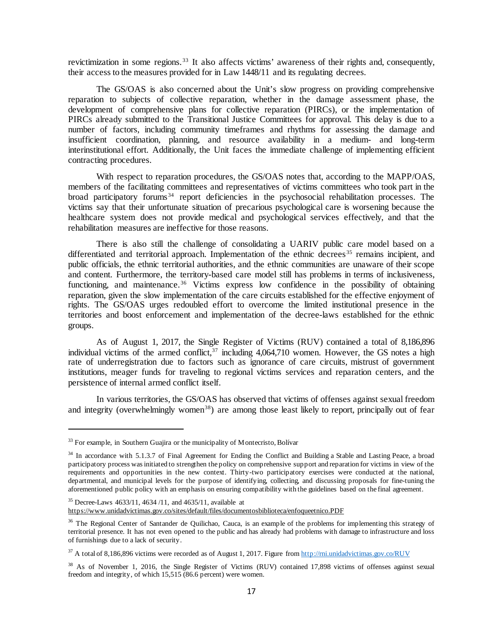revictimization in some regions. [33](#page-16-0) It also affects victims' awareness of their rights and, consequently, their access to the measures provided for in Law 1448/11 and its regulating decrees.

The GS/OAS is also concerned about the Unit's slow progress on providing comprehensive reparation to subjects of collective reparation, whether in the damage assessment phase, the development of comprehensive plans for collective reparation (PIRCs), or the implementation of PIRCs already submitted to the Transitional Justice Committees for approval. This delay is due to a number of factors, including community timeframes and rhythms for assessing the damage and insufficient coordination, planning, and resource availability in a medium- and long-term interinstitutional effort. Additionally, the Unit faces the immediate challenge of implementing efficient contracting procedures.

With respect to reparation procedures, the GS/OAS notes that, according to the MAPP/OAS, members of the facilitating committees and representatives of victims committees who took part in the broad participatory forums<sup>[34](#page-16-1)</sup> report deficiencies in the psychosocial rehabilitation processes. The victims say that their unfortunate situation of precarious psychological care is worsening because the healthcare system does not provide medical and psychological services effectively, and that the rehabilitation measures are ineffective for those reasons.

There is also still the challenge of consolidating a UARIV public care model based on a differentiated and territorial approach. Implementation of the ethnic decrees<sup>[35](#page-16-2)</sup> remains incipient, and public officials, the ethnic territorial authorities, and the ethnic communities are unaware of their scope and content. Furthermore, the territory-based care model still has problems in terms of inclusiveness, functioning, and maintenance.<sup>[36](#page-16-3)</sup> Victims express low confidence in the possibility of obtaining reparation, given the slow implementation of the care circuits established for the effective enjoyment of rights. The GS/OAS urges redoubled effort to overcome the limited institutional presence in the territories and boost enforcement and implementation of the decree-laws established for the ethnic groups.

As of August 1, 2017, the Single Register of Victims (RUV) contained a total of 8,186,896 individual victims of the armed conflict,  $37$  including 4,064,710 women. However, the GS notes a high rate of underregistration due to factors such as ignorance of care circuits, mistrust of government institutions, meager funds for traveling to regional victims services and reparation centers, and the persistence of internal armed conflict itself.

In various territories, the GS/OAS has observed that victims of offenses against sexual freedom and integrity (overwhelmingly women<sup>38</sup>) are among those least likely to report, principally out of fear

<span id="page-16-0"></span><sup>&</sup>lt;sup>33</sup> For example, in Southern Guajira or the municipality of Montecristo, Bolívar

<span id="page-16-1"></span><sup>&</sup>lt;sup>34</sup> In accordance with 5.1.3.7 of Final Agreement for Ending the Conflict and Building a Stable and Lasting Peace, a broad participatory process was initiated to strengthen the policy on comprehensive support and reparation for victims in view of the requirements and opportunities in the new context. Thirty-two participatory exercises were conducted at the national, departmental, and municipal levels for the purpose of identifying, collecting, and discussing proposals for fine-tuning the aforementioned public policy with an emphasis on ensuring compatibility with the guidelines based on the final agreement.

<span id="page-16-2"></span><sup>35</sup> Decree-Laws 4633/11, 4634 /11, and 4635/11, available at <https://www.unidadvictimas.gov.co/sites/default/files/documentosbiblioteca/enfoqueetnico.PDF>

<span id="page-16-3"></span><sup>&</sup>lt;sup>36</sup> The Regional Center of Santander de Quilichao, Cauca, is an example of the problems for implementing this strategy of territorial presence. It has not even opened to the public and has already had problems with damage to infrastructure and loss of furnishings due to a lack of security.

<span id="page-16-4"></span> $37$  A total of 8,186,896 victims were recorded as of August 1, 2017. Figure from<http://rni.unidadvictimas.gov.co/RUV>

<span id="page-16-5"></span><sup>&</sup>lt;sup>38</sup> As of November 1, 2016, the Single Register of Victims (RUV) contained 17,898 victims of offenses against sexual freedom and integrity, of which 15,515 (86.6 percent) were women.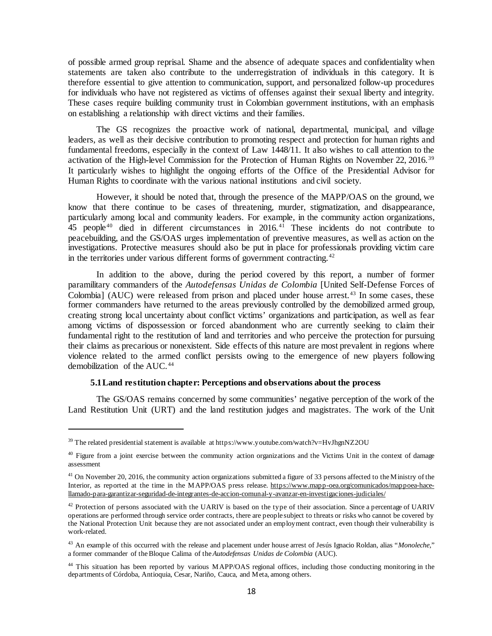of possible armed group reprisal. Shame and the absence of adequate spaces and confidentiality when statements are taken also contribute to the underregistration of individuals in this category. It is therefore essential to give attention to communication, support, and personalized follow-up procedures for individuals who have not registered as victims of offenses against their sexual liberty and integrity. These cases require building community trust in Colombian government institutions, with an emphasis on establishing a relationship with direct victims and their families.

The GS recognizes the proactive work of national, departmental, municipal, and village leaders, as well as their decisive contribution to promoting respect and protection for human rights and fundamental freedoms, especially in the context of Law 1448/11. It also wishes to call attention to the activation of the High-level Commission for the Protection of Human Rights on November 22, 2016. [39](#page-17-0) It particularly wishes to highlight the ongoing efforts of the Office of the Presidential Advisor for Human Rights to coordinate with the various national institutions and civil society.

However, it should be noted that, through the presence of the MAPP/OAS on the ground, we know that there continue to be cases of threatening, murder, stigmatization, and disappearance, particularly among local and community leaders. For example, in the community action organizations, 45 people<sup>[40](#page-17-1)</sup> died in different circumstances in 2016.<sup>[41](#page-17-2)</sup> These incidents do not contribute to peacebuilding, and the GS/OAS urges implementation of preventive measures, as well as action on the investigations. Protective measures should also be put in place for professionals providing victim care in the territories under various different forms of government contracting. [42](#page-17-3)

In addition to the above, during the period covered by this report, a number of former paramilitary commanders of the *Autodefensas Unidas de Colombia* [United Self-Defense Forces of Colombia] (AUC) were released from prison and placed under house arrest.<sup>[43](#page-17-4)</sup> In some cases, these former commanders have returned to the areas previously controlled by the demobilized armed group, creating strong local uncertainty about conflict victims' organizations and participation, as well as fear among victims of dispossession or forced abandonment who are currently seeking to claim their fundamental right to the restitution of land and territories and who perceive the protection for pursuing their claims as precarious or nonexistent. Side effects of this nature are most prevalent in regions where violence related to the armed conflict persists owing to the emergence of new players following demobilization of the AUC. [44](#page-17-5)

### **5.1Land restitution chapter: Perceptions and observations about the process**

The GS/OAS remains concerned by some communities' negative perception of the work of the Land Restitution Unit (URT) and the land restitution judges and magistrates. The work of the Unit

<span id="page-17-0"></span><sup>&</sup>lt;sup>39</sup> The related presidential statement is available at<https://www.youtube.com/watch?v=HvJhgnNZ2OU>

<span id="page-17-1"></span><sup>&</sup>lt;sup>40</sup> Figure from a joint exercise between the community action organizations and the Victims Unit in the context of damage assessment

<span id="page-17-2"></span> $41$  On November 20, 2016, the community action organizations submitted a figure of 33 persons affected to the Ministry of the Interior, as reported at the time in the MAPP/OAS press release. [https://www.mapp-oea.org/comunicados/mappoea-hace](https://www.mapp-oea.org/comunicados/mappoea-hace-llamado-para-garantizar-seguridad-de-integrantes-de-accion-comunal-y-avanzar-en-investigaciones-judiciales/)[llamado-para-garantizar-seguridad-de-integrantes-de-accion-comunal-y-avanzar-en-investigaciones-judiciales/](https://www.mapp-oea.org/comunicados/mappoea-hace-llamado-para-garantizar-seguridad-de-integrantes-de-accion-comunal-y-avanzar-en-investigaciones-judiciales/)

<span id="page-17-3"></span> $42$  Protection of persons associated with the UARIV is based on the type of their association. Since a percentage of UARIV operations are performed through service order contracts, there are people subject to threats or risks who cannot be covered by the National Protection Unit because they are not associated under an employment contract, even though their vulnerability is work-related.

<span id="page-17-4"></span><sup>43</sup> An example of this occurred with the release and placement under house arrest of Jesús Ignacio Roldan, alias "*Monoleche*," a former commander of the Bloque Calima of the *Autodefensas Unidas de Colombia* (AUC).

<span id="page-17-5"></span><sup>&</sup>lt;sup>44</sup> This situation has been reported by various MAPP/OAS regional offices, including those conducting monitoring in the departments of Córdoba, Antioquia, Cesar, Nariño, Cauca, and Meta, among others.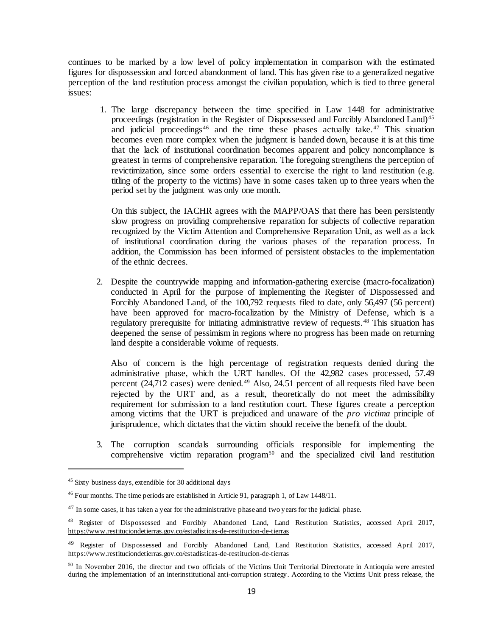continues to be marked by a low level of policy implementation in comparison with the estimated figures for dispossession and forced abandonment of land. This has given rise to a generalized negative perception of the land restitution process amongst the civilian population, which is tied to three general issues:

1. The large discrepancy between the time specified in Law 1448 for administrative proceedings (registration in the Register of Dispossessed and Forcibly Abandoned Land)<sup>[45](#page-18-0)</sup> and judicial proceedings<sup>[46](#page-18-1)</sup> and the time these phases actually take.<sup>[47](#page-18-2)</sup> This situation becomes even more complex when the judgment is handed down, because it is at this time that the lack of institutional coordination becomes apparent and policy noncompliance is greatest in terms of comprehensive reparation. The foregoing strengthens the perception of revictimization, since some orders essential to exercise the right to land restitution (e.g. titling of the property to the victims) have in some cases taken up to three years when the period set by the judgment was only one month.

On this subject, the IACHR agrees with the MAPP/OAS that there has been persistently slow progress on providing comprehensive reparation for subjects of collective reparation recognized by the Victim Attention and Comprehensive Reparation Unit, as well as a lack of institutional coordination during the various phases of the reparation process. In addition, the Commission has been informed of persistent obstacles to the implementation of the ethnic decrees.

2. Despite the countrywide mapping and information-gathering exercise (macro-focalization) conducted in April for the purpose of implementing the Register of Dispossessed and Forcibly Abandoned Land, of the 100,792 requests filed to date, only 56,497 (56 percent) have been approved for macro-focalization by the Ministry of Defense, which is a regulatory prerequisite for initiating administrative review of requests. [48](#page-18-3) This situation has deepened the sense of pessimism in regions where no progress has been made on returning land despite a considerable volume of requests.

Also of concern is the high percentage of registration requests denied during the administrative phase, which the URT handles. Of the 42,982 cases processed, 57.49 percent (24,712 cases) were denied. [49](#page-18-4) Also, 24.51 percent of all requests filed have been rejected by the URT and, as a result, theoretically do not meet the admissibility requirement for submission to a land restitution court. These figures create a perception among victims that the URT is prejudiced and unaware of the *pro victima* principle of jurisprudence, which dictates that the victim should receive the benefit of the doubt.

3. The corruption scandals surrounding officials responsible for implementing the comprehensive victim reparation progra[m50](#page-18-5) and the specialized civil land restitution

<span id="page-18-0"></span><sup>45</sup> Sixty business days, extendible for 30 additional days

<span id="page-18-1"></span><sup>46</sup> Four months. The time periods are established in Article 91, paragraph 1, of Law 1448/11.

<span id="page-18-2"></span><sup>&</sup>lt;sup>47</sup> In some cases, it has taken a year for the administrative phase and two years for the judicial phase.

<span id="page-18-3"></span><sup>48</sup> Register of Dispossessed and Forcibly Abandoned Land, Land Restitution Statistics, accessed April 2017, <https://www.restituciondetierras.gov.co/estadisticas-de-restitucion-de-tierras>

<span id="page-18-4"></span><sup>49</sup> Register of Dispossessed and Forcibly Abandoned Land, Land Restitution Statistics, accessed April 2017, <https://www.restituciondetierras.gov.co/estadisticas-de-restitucion-de-tierras>

<span id="page-18-5"></span><sup>&</sup>lt;sup>50</sup> In November 2016, the director and two officials of the Victims Unit Territorial Directorate in Antioquia were arrested during the implementation of an interinstitutional anti-corruption strategy. According to the Victims Unit press release, the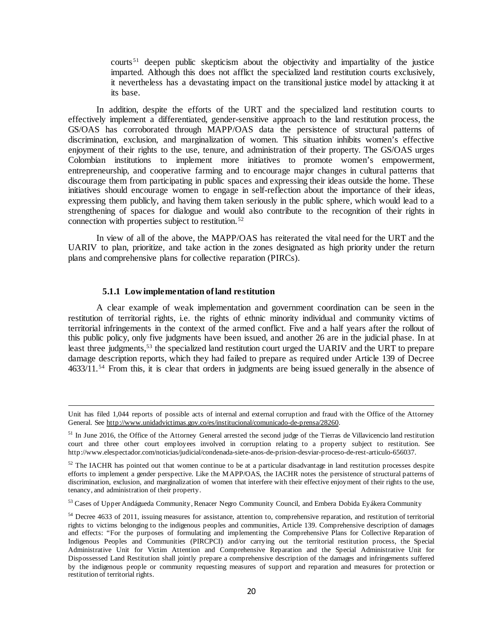courts [51](#page-19-0) deepen public skepticism about the objectivity and impartiality of the justice imparted. Although this does not afflict the specialized land restitution courts exclusively, it nevertheless has a devastating impact on the transitional justice model by attacking it at its base.

In addition, despite the efforts of the URT and the specialized land restitution courts to effectively implement a differentiated, gender-sensitive approach to the land restitution process, the GS/OAS has corroborated through MAPP/OAS data the persistence of structural patterns of discrimination, exclusion, and marginalization of women. This situation inhibits women's effective enjoyment of their rights to the use, tenure, and administration of their property. The GS/OAS urges Colombian institutions to implement more initiatives to promote women's empowerment, entrepreneurship, and cooperative farming and to encourage major changes in cultural patterns that discourage them from participating in public spaces and expressing their ideas outside the home. These initiatives should encourage women to engage in self-reflection about the importance of their ideas, expressing them publicly, and having them taken seriously in the public sphere, which would lead to a strengthening of spaces for dialogue and would also contribute to the recognition of their rights in connection with properties subject to restitution. [52](#page-19-1)

In view of all of the above, the MAPP/OAS has reiterated the vital need for the URT and the UARIV to plan, prioritize, and take action in the zones designated as high priority under the return plans and comprehensive plans for collective reparation (PIRCs).

## **5.1.1 Low implementation of land restitution**

l

A clear example of weak implementation and government coordination can be seen in the restitution of territorial rights, i.e. the rights of ethnic minority individual and community victims of territorial infringements in the context of the armed conflict. Five and a half years after the rollout of this public policy, only five judgments have been issued, and another 26 are in the judicial phase. In at least three judgments,<sup>53</sup> the specialized land restitution court urged the UARIV and the URT to prepare damage description reports, which they had failed to prepare as required under Article 139 of Decree 4633/11. [54](#page-19-3) From this, it is clear that orders in judgments are being issued generally in the absence of

Unit has filed 1,044 reports of possible acts of internal and external corruption and fraud with the Office of the Attorney General. See [http://www.unidadvictimas.gov.co/es/institucional/comunicado-de-prensa/28260.](http://www.unidadvictimas.gov.co/es/institucional/comunicado-de-prensa/28260)

<span id="page-19-0"></span><sup>&</sup>lt;sup>51</sup> In June 2016, the Office of the Attorney General arrested the second judge of the Tierras de Villavicencio land restitution court and three other court employees involved in corruption relating to a property subject to restitution. See http://www.elespectador.com/noticias/judicial/condenada-siete-anos-de-prision-desviar-proceso-de-rest-articulo-656037.

<span id="page-19-1"></span> $52$  The IACHR has pointed out that women continue to be at a particular disadvantage in land restitution processes despite efforts to implement a gender perspective. Like the MAPP/OAS, the IACHR notes the persistence of structural patterns of discrimination, exclusion, and marginalization of women that interfere with their effective enjoyment of their rights to the use, tenancy, and administration of their property.

<span id="page-19-2"></span><sup>53</sup> Cases of Upper Andágueda Community, Renacer Negro Community Council, and Embera Dobida Eyákera Community

<span id="page-19-3"></span><sup>54</sup> Decree 4633 of 2011, issuing measures for assistance, attention to, comprehensive reparation, and restitution of territorial rights to victims belonging to the indigenous peoples and communities, Article 139. Comprehensive description of damages and effects: "For the purposes of formulating and implementing the Comprehensive Plans for Collective Reparation of Indigenous Peoples and Communities (PIRCPCI) and/or carrying out the territorial restitution process, the Special Administrative Unit for Victim Attention and Comprehensive Reparation and the Special Administrative Unit for Dispossessed Land Restitution shall jointly prepare a comprehensive description of the damages and infringements suffered by the indigenous people or community requesting measures of support and reparation and measures for protection or restitution of territorial rights.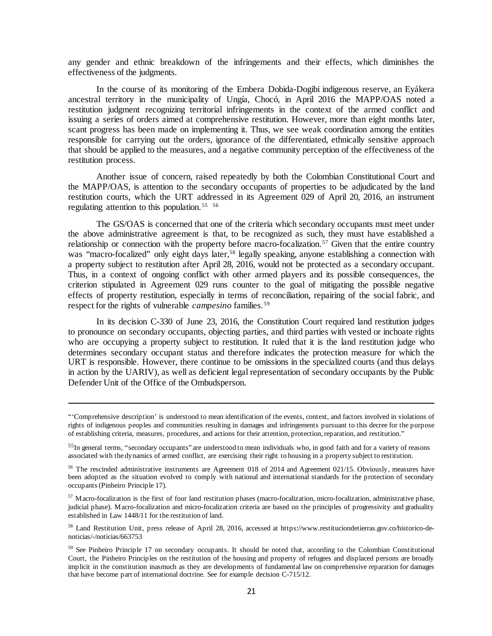any gender and ethnic breakdown of the infringements and their effects, which diminishes the effectiveness of the judgments.

In the course of its monitoring of the Embera Dobida-Dogibi indigenous reserve, an Eyákera ancestral territory in the municipality of Ungía, Chocó, in April 2016 the MAPP/OAS noted a restitution judgment recognizing territorial infringements in the context of the armed conflict and issuing a series of orders aimed at comprehensive restitution. However, more than eight months later, scant progress has been made on implementing it. Thus, we see weak coordination among the entities responsible for carrying out the orders, ignorance of the differentiated, ethnically sensitive approach that should be applied to the measures, and a negative community perception of the effectiveness of the restitution process.

Another issue of concern, raised repeatedly by both the Colombian Constitutional Court and the MAPP/OAS, is attention to the secondary occupants of properties to be adjudicated by the land restitution courts, which the URT addressed in its Agreement 029 of April 20, 2016, an instrument regulating attention to this population. [55](#page-20-0) [56](#page-20-1)

The GS/OAS is concerned that one of the criteria which secondary occupants must meet under the above administrative agreement is that, to be recognized as such, they must have established a relationship or connection with the property before macro-focalization.<sup>[57](#page-20-2)</sup> Given that the entire country was "macro-focalized" only eight days later,<sup>[58](#page-20-3)</sup> legally speaking, anyone establishing a connection with a property subject to restitution after April 28, 2016, would not be protected as a secondary occupant. Thus, in a context of ongoing conflict with other armed players and its possible consequences, the criterion stipulated in Agreement 029 runs counter to the goal of mitigating the possible negative effects of property restitution, especially in terms of reconciliation, repairing of the social fabric, and respect for the rights of vulnerable *campesino* families. [59](#page-20-4)

In its decision C-330 of June 23, 2016, the Constitution Court required land restitution judges to pronounce on secondary occupants, objecting parties, and third parties with vested or inchoate rights who are occupying a property subject to restitution. It ruled that it is the land restitution judge who determines secondary occupant status and therefore indicates the protection measure for which the URT is responsible. However, there continue to be omissions in the specialized courts (and thus delays in action by the UARIV), as well as deficient legal representation of secondary occupants by the Public Defender Unit of the Office of the Ombudsperson.

<sup>&</sup>quot;'Comprehensive description' is understood to mean identification of the events, context, and factors involved in violations of rights of indigenous peoples and communities resulting in damages and infringements pursuant to this decree for the purpose of establishing criteria, measures, procedures, and actions for their attention, protection, reparation, and restitution."

<span id="page-20-0"></span><sup>&</sup>lt;sup>55</sup>In general terms, "secondary occupants" are understood to mean individuals who, in good faith and for a variety of reasons associated with the dynamics of armed conflict, are exercising their right to housing in a property subject to restitution.

<span id="page-20-1"></span><sup>&</sup>lt;sup>56</sup> The rescinded administrative instruments are Agreement 018 of 2014 and Agreement 021/15. Obviously, measures have been adopted as the situation evolved to comply with national and international standards for the protection of secondary occupants (Pinheiro Principle 17).

<span id="page-20-2"></span><sup>57</sup> Macro-focalization is the first of four land restitution phases (macro-focalization, micro-focalization, administrative phase, judicial phase). Macro-focalization and micro-focalization criteria are based on the principles of progressivity and graduality established in Law 1448/11 for the restitution of land.

<span id="page-20-3"></span><sup>58</sup> Land Restitution Unit, press release of April 28, 2016, accessed at https://www.restituciondetierras.gov.co/historico-denoticias/-/noticias/663753

<span id="page-20-4"></span><sup>&</sup>lt;sup>59</sup> See Pinheiro Principle 17 on secondary occupants. It should be noted that, according to the Colombian Constitutional Court, the Pinheiro Principles on the restitution of the housing and property of refugees and displaced persons are broadly implicit in the constitution inasmuch as they are developments of fundamental law on comprehensive reparation for damages that have become part of international doctrine. See for example decision C-715/12.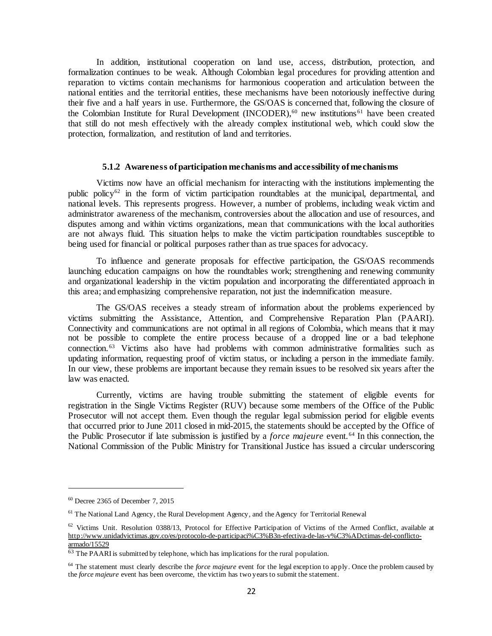In addition, institutional cooperation on land use, access, distribution, protection, and formalization continues to be weak. Although Colombian legal procedures for providing attention and reparation to victims contain mechanisms for harmonious cooperation and articulation between the national entities and the territorial entities, these mechanisms have been notoriously ineffective during their five and a half years in use. Furthermore, the GS/OAS is concerned that, following the closure of the Colombian Institute for Rural Development (INCODER),<sup>[60](#page-21-0)</sup> new institutions<sup>[61](#page-21-1)</sup> have been created that still do not mesh effectively with the already complex institutional web, which could slow the protection, formalization, and restitution of land and territories.

#### **5.1.2 Awareness of participation mechanisms and accessibility of mechanisms**

Victims now have an official mechanism for interacting with the institutions implementing the public policy<sup>62</sup> in the form of victim participation roundtables at the municipal, departmental, and national levels. This represents progress. However, a number of problems, including weak victim and administrator awareness of the mechanism, controversies about the allocation and use of resources, and disputes among and within victims organizations, mean that communications with the local authorities are not always fluid. This situation helps to make the victim participation roundtables susceptible to being used for financial or political purposes rather than as true spaces for advocacy.

To influence and generate proposals for effective participation, the GS/OAS recommends launching education campaigns on how the roundtables work; strengthening and renewing community and organizational leadership in the victim population and incorporating the differentiated approach in this area; and emphasizing comprehensive reparation, not just the indemnification measure.

The GS/OAS receives a steady stream of information about the problems experienced by victims submitting the Assistance, Attention, and Comprehensive Reparation Plan (PAARI). Connectivity and communications are not optimal in all regions of Colombia, which means that it may not be possible to complete the entire process because of a dropped line or a bad telephone connection. [63](#page-21-3) Victims also have had problems with common administrative formalities such as updating information, requesting proof of victim status, or including a person in the immediate family. In our view, these problems are important because they remain issues to be resolved six years after the law was enacted.

Currently, victims are having trouble submitting the statement of eligible events for registration in the Single Victims Register (RUV) because some members of the Office of the Public Prosecutor will not accept them. Even though the regular legal submission period for eligible events that occurred prior to June 2011 closed in mid-2015, the statements should be accepted by the Office of the Public Prosecutor if late submission is justified by a *force majeure* event. [64](#page-21-4) In this connection, the National Commission of the Public Ministry for Transitional Justice has issued a circular underscoring

<span id="page-21-0"></span><sup>60</sup> Decree 2365 of December 7, 2015

<span id="page-21-1"></span><sup>&</sup>lt;sup>61</sup> The National Land Agency, the Rural Development Agency, and the Agency for Territorial Renewal

<span id="page-21-2"></span> $62$  Victims Unit. Resolution 0388/13, Protocol for Effective Participation of Victims of the Armed Conflict, available at [http://www.unidadvictimas.gov.co/es/protocolo-de-participaci%C3%B3n-efectiva-de-las-v%C3%ADctimas-del-conflicto](http://www.unidadvictimas.gov.co/es/protocolo-de-participaci%C3%B3n-efectiva-de-las-v%C3%ADctimas-del-conflicto-armado/15529)[armado/15529](http://www.unidadvictimas.gov.co/es/protocolo-de-participaci%C3%B3n-efectiva-de-las-v%C3%ADctimas-del-conflicto-armado/15529)

<span id="page-21-3"></span><sup>63</sup> The PAARI is submitted by telephone, which has implications for the rural population.

<span id="page-21-4"></span><sup>&</sup>lt;sup>64</sup> The statement must clearly describe the *force majeure* event for the legal exception to apply. Once the problem caused by the *force majeure* event has been overcome, the victim has two years to submit the statement.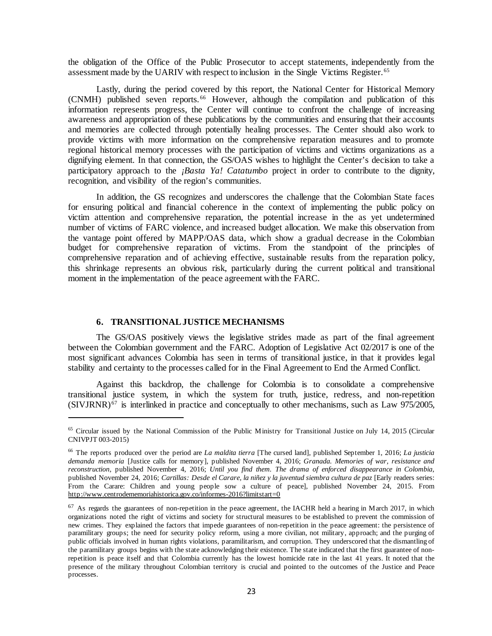the obligation of the Office of the Public Prosecutor to accept statements, independently from the assessment made by the UARIV with respect to inclusion in the Single Victims Register. [65](#page-22-0)

Lastly, during the period covered by this report, the National Center for Historical Memory (CNMH) published seven reports. [66](#page-22-1) However, although the compilation and publication of this information represents progress, the Center will continue to confront the challenge of increasing awareness and appropriation of these publications by the communities and ensuring that their accounts and memories are collected through potentially healing processes. The Center should also work to provide victims with more information on the comprehensive reparation measures and to promote regional historical memory processes with the participation of victims and victims organizations as a dignifying element. In that connection, the GS/OAS wishes to highlight the Center's decision to take a participatory approach to the *¡Basta Ya! Catatumbo* project in order to contribute to the dignity, recognition, and visibility of the region's communities.

In addition, the GS recognizes and underscores the challenge that the Colombian State faces for ensuring political and financial coherence in the context of implementing the public policy on victim attention and comprehensive reparation, the potential increase in the as yet undetermined number of victims of FARC violence, and increased budget allocation. We make this observation from the vantage point offered by MAPP/OAS data, which show a gradual decrease in the Colombian budget for comprehensive reparation of victims. From the standpoint of the principles of comprehensive reparation and of achieving effective, sustainable results from the reparation policy, this shrinkage represents an obvious risk, particularly during the current political and transitional moment in the implementation of the peace agreement with the FARC.

### **6. TRANSITIONAL JUSTICE MECHANISMS**

l

The GS/OAS positively views the legislative strides made as part of the final agreement between the Colombian government and the FARC. Adoption of Legislative Act 02/2017 is one of the most significant advances Colombia has seen in terms of transitional justice, in that it provides legal stability and certainty to the processes called for in the Final Agreement to End the Armed Conflict.

Against this backdrop, the challenge for Colombia is to consolidate a comprehensive transitional justice system, in which the system for truth, justice, redress, and non-repetition  $(SIVJRNR)<sup>67</sup>$  $(SIVJRNR)<sup>67</sup>$  $(SIVJRNR)<sup>67</sup>$  is interlinked in practice and conceptually to other mechanisms, such as Law 975/2005,

<span id="page-22-0"></span><sup>&</sup>lt;sup>65</sup> Circular issued by the National Commission of the Public Ministry for Transitional Justice on July 14, 2015 (Circular CNIVPJT 003-2015)

<span id="page-22-1"></span><sup>66</sup> The reports produced over the period are *La maldita tierra* [The cursed land], published September 1, 2016; *[La justicia](http://www.centrodememoriahistorica.gov.co/informes/informes-2016/la-justicia-que-demanda-memoria)  [demanda memoria](http://www.centrodememoriahistorica.gov.co/informes/informes-2016/la-justicia-que-demanda-memoria)* [Justice calls for memory], published November 4, 2016; *[Granada.](http://www.centrodememoriahistorica.gov.co/informes/informes-2016/granada) Memories of war, resistance and reconstruction*, published November 4, 2016; *[Until you find them. The drama of enforced disappearance in Colombia](http://www.centrodememoriahistorica.gov.co/informes/informes-2016/hasta-encontrarlos)*, published November 24, 2016; *[Cartillas: Desde el Carare, la niñez y la juventud siembra cultura de paz](http://www.centrodememoriahistorica.gov.co/informes/informes-2016/cartillas-desde-el-carare-la-ninez-y-la-juventud-siembran-cultura-de-paz)* [Early readers series: From the Carare: Children and young people sow a culture of peace], published November 24, 2015. From <http://www.centrodememoriahistorica.gov.co/informes-2016?limitstart=0>

<span id="page-22-2"></span> $67$  As regards the guarantees of non-repetition in the peace agreement, the IACHR held a hearing in March 2017, in which organizations noted the right of victims and society for structural measures to be established to prevent the commission of new crimes. They explained the factors that impede guarantees of non-repetition in the peace agreement: the persistence of paramilitary groups; the need for security policy reform, using a more civilian, not military, approach; and the purging of public officials involved in human rights violations, paramilitarism, and corruption. They underscored that the dismantling of the paramilitary groups begins with the state acknowledging their existence. The state indicated that the first guarantee of nonrepetition is peace itself and that Colombia currently has the lowest homicide rate in the last 41 years. It noted that the presence of the military throughout Colombian territory is crucial and pointed to the outcomes of the Justice and Peace processes.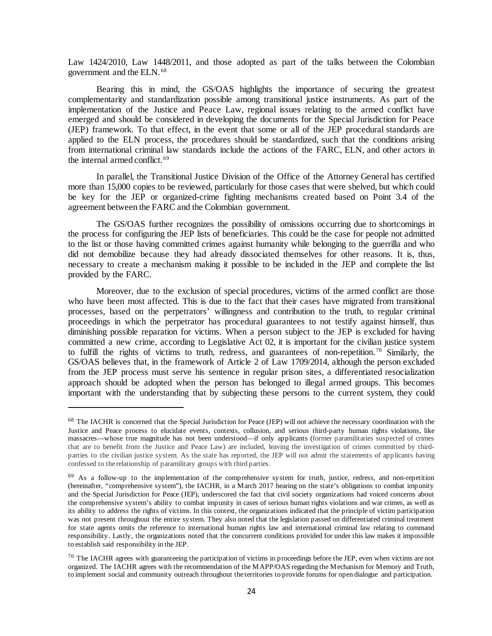Law 1424/2010, Law 1448/2011, and those adopted as part of the talks between the Colombian government and the ELN. [68](#page-23-0)

Bearing this in mind, the GS/OAS highlights the importance of securing the greatest complementarity and standardization possible among transitional justice instruments. As part of the implementation of the Justice and Peace Law, regional issues relating to the armed conflict have emerged and should be considered in developing the documents for the Special Jurisdiction for Peace (JEP) framework. To that effect, in the event that some or all of the JEP procedural standards are applied to the ELN process, the procedures should be standardized, such that the conditions arising from international criminal law standards include the actions of the FARC, ELN, and other actors in the internal armed conflict. [69](#page-23-1)

In parallel, the Transitional Justice Division of the Office of the Attorney General has certified more than 15,000 copies to be reviewed, particularly for those cases that were shelved, but which could be key for the JEP or organized-crime fighting mechanisms created based on Point 3.4 of the agreement between the FARC and the Colombian government.

The GS/OAS further recognizes the possibility of omissions occurring due to shortcomings in the process for configuring the JEP lists of beneficiaries. This could be the case for people not admitted to the list or those having committed crimes against humanity while belonging to the guerrilla and who did not demobilize because they had already dissociated themselves for other reasons. It is, thus, necessary to create a mechanism making it possible to be included in the JEP and complete the list provided by the FARC.

Moreover, due to the exclusion of special procedures, victims of the armed conflict are those who have been most affected. This is due to the fact that their cases have migrated from transitional processes, based on the perpetrators' willingness and contribution to the truth, to regular criminal proceedings in which the perpetrator has procedural guarantees to not testify against himself, thus diminishing possible reparation for victims. When a person subject to the JEP is excluded for having committed a new crime, according to Legislative Act 02, it is important for the civilian justice system to fulfill the rights of victims to truth, redress, and guarantees of non-repetition.<sup>[70](#page-23-2)</sup> Similarly, the GS/OAS believes that, in the framework of Article 2 of Law 1709/2014, although the person excluded from the JEP process must serve his sentence in regular prison sites, a differentiated resocialization approach should be adopted when the person has belonged to illegal armed groups. This becomes important with the understanding that by subjecting these persons to the current system, they could

<span id="page-23-0"></span><sup>&</sup>lt;sup>68</sup> The IACHR is concerned that the Special Jurisdiction for Peace (JEP) will not achieve the necessary coordination with the Justice and Peace process to elucidate events, contexts, collusion, and serious third-party human rights violations, like massacres—whose true magnitude has not been understood—if only applicants (former paramilitaries suspected of crimes that are to benefit from the Justice and Peace Law) are included, leaving the investigation of crimes committed by thirdparties to the civilian justice system. As the state has reported, the JEP will not admit the statements of applicants having confessed to the relationship of paramilitary groups with third parties.

<span id="page-23-1"></span><sup>&</sup>lt;sup>69</sup> As a follow-up to the implementation of the comprehensive system for truth, justice, redress, and non-repetition (hereinafter, "comprehensive system"), the IACHR, in a March 2017 hearing on the state's obligations to combat impunity and the Special Jurisdiction for Peace (JEP), underscored the fact that civil society organizations had voiced concerns about the comprehensive system's ability to combat impunity in cases of serious human rights violations and war crimes, as well as its ability to address the rights of victims. In this context, the organizations indicated that the principle of victim participation was not present throughout the entire system. They also noted that the legislation passed on differentiated criminal treatment for state agents omits the reference to international human rights law and international criminal law relating to command responsibility. Lastly, the organizations noted that the concurrent conditions provided for under this law makes it impossible to establish said responsibility in the JEP.

<span id="page-23-2"></span><sup>&</sup>lt;sup>70</sup> The IACHR agrees with guaranteeing the participation of victims in proceedings before the JEP, even when victims are not organized. The IACHR agrees with the recommendation of the MAPP/OAS regarding the Mechanism for Memory and Truth, to implement social and community outreach throughout the territories to provide forums for open dialogue and participation.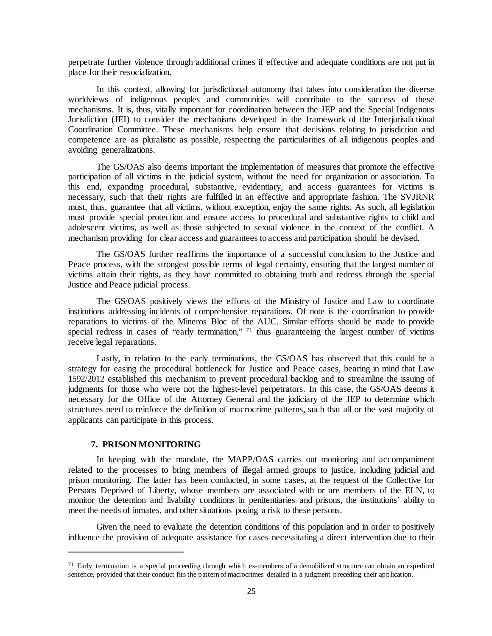perpetrate further violence through additional crimes if effective and adequate conditions are not put in place for their resocialization.

In this context, allowing for jurisdictional autonomy that takes into consideration the diverse worldviews of indigenous peoples and communities will contribute to the success of these mechanisms. It is, thus, vitally important for coordination between the JEP and the Special Indigenous Jurisdiction (JEI) to consider the mechanisms developed in the framework of the Interjurisdictional Coordination Committee. These mechanisms help ensure that decisions relating to jurisdiction and competence are as pluralistic as possible, respecting the particularities of all indigenous peoples and avoiding generalizations.

The GS/OAS also deems important the implementation of measures that promote the effective participation of all victims in the judicial system, without the need for organization or association. To this end, expanding procedural, substantive, evidentiary, and access guarantees for victims is necessary, such that their rights are fulfilled in an effective and appropriate fashion. The SVJRNR must, thus, guarantee that all victims, without exception, enjoy the same rights. As such, all legislation must provide special protection and ensure access to procedural and substantive rights to child and adolescent victims, as well as those subjected to sexual violence in the context of the conflict. A mechanism providing for clear access and guarantees to access and participation should be devised.

The GS/OAS further reaffirms the importance of a successful conclusion to the Justice and Peace process, with the strongest possible terms of legal certainty, ensuring that the largest number of victims attain their rights, as they have committed to obtaining truth and redress through the special Justice and Peace judicial process.

The GS/OAS positively views the efforts of the Ministry of Justice and Law to coordinate institutions addressing incidents of comprehensive reparations. Of note is the coordination to provide reparations to victims of the Mineros Bloc of the AUC. Similar efforts should be made to provide special redress in cases of "early termination," <sup>[71](#page-24-0)</sup> thus guaranteeing the largest number of victims receive legal reparations.

Lastly, in relation to the early terminations, the GS/OAS has observed that this could be a strategy for easing the procedural bottleneck for Justice and Peace cases, bearing in mind that Law 1592/2012 established this mechanism to prevent procedural backlog and to streamline the issuing of judgments for those who were not the highest-level perpetrators. In this case, the GS/OAS deems it necessary for the Office of the Attorney General and the judiciary of the JEP to determine which structures need to reinforce the definition of macrocrime patterns, such that all or the vast majority of applicants can participate in this process.

### **7. PRISON MONITORING**

l

In keeping with the mandate, the MAPP/OAS carries out monitoring and accompaniment related to the processes to bring members of illegal armed groups to justice, including judicial and prison monitoring. The latter has been conducted, in some cases, at the request of the Collective for Persons Deprived of Liberty, whose members are associated with or are members of the ELN, to monitor the detention and livability conditions in penitentiaries and prisons, the institutions' ability to meet the needs of inmates, and other situations posing a risk to these persons.

Given the need to evaluate the detention conditions of this population and in order to positively influence the provision of adequate assistance for cases necessitating a direct intervention due to their

<span id="page-24-0"></span> $71$  Early termination is a special proceeding through which ex-members of a demobilized structure can obtain an expedited sentence, provided that their conduct fits the pattern of macrocrimes detailed in a judgment preceding their application.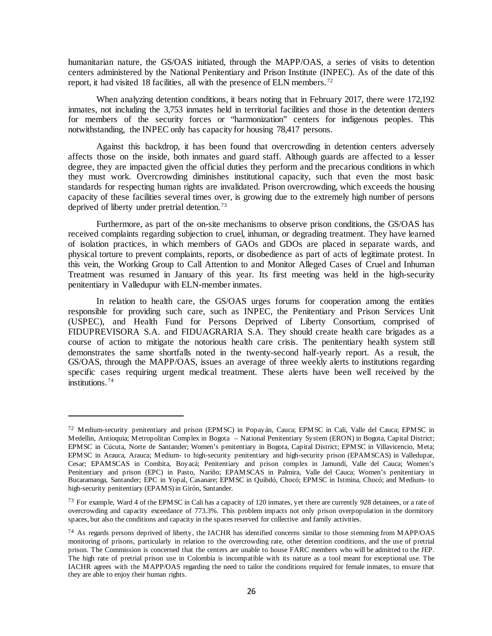humanitarian nature, the GS/OAS initiated, through the MAPP/OAS, a series of visits to detention centers administered by the National Penitentiary and Prison Institute (INPEC). As of the date of this report, it had visited 18 facilities, all with the presence of ELN members. [72](#page-25-0)

When analyzing detention conditions, it bears noting that in February 2017, there were 172,192 inmates, not including the 3,753 inmates held in territorial facilities and those in the detention denters for members of the security forces or "harmonization" centers for indigenous peoples. This notwithstanding, the INPEC only has capacity for housing 78,417 persons.

Against this backdrop, it has been found that overcrowding in detention centers adversely affects those on the inside, both inmates and guard staff. Although guards are affected to a lesser degree, they are impacted given the official duties they perform and the precarious conditions in which they must work. Overcrowding diminishes institutional capacity, such that even the most basic standards for respecting human rights are invalidated. Prison overcrowding, which exceeds the housing capacity of these facilities several times over, is growing due to the extremely high number of persons deprived of liberty under pretrial detention. [73](#page-25-1)

Furthermore, as part of the on-site mechanisms to observe prison conditions, the GS/OAS has received complaints regarding subjection to cruel, inhuman, or degrading treatment. They have learned of isolation practices, in which members of GAOs and GDOs are placed in separate wards, and physical torture to prevent complaints, reports, or disobedience as part of acts of legitimate protest. In this vein, the Working Group to Call Attention to and Monitor Alleged Cases of Cruel and Inhuman Treatment was resumed in January of this year. Its first meeting was held in the high-security penitentiary in Valledupur with ELN-member inmates.

In relation to health care, the GS/OAS urges forums for cooperation among the entities responsible for providing such care, such as INPEC, the Penitentiary and Prison Services Unit (USPEC), and Health Fund for Persons Deprived of Liberty Consortium, comprised of FIDUPREVISORA S.A. and FIDUAGRARIA S.A. They should create health care brigades as a course of action to mitigate the notorious health care crisis. The penitentiary health system still demonstrates the same shortfalls noted in the twenty-second half-yearly report. As a result, the GS/OAS, through the MAPP/OAS, issues an average of three weekly alerts to institutions regarding specific cases requiring urgent medical treatment. These alerts have been well received by the institutions. [74](#page-25-2)

<span id="page-25-0"></span><sup>72</sup> Medium-security penitentiary and prison (EPMSC) in Popayán, Cauca; EPMSC in Cali, Valle del Cauca; EPMSC in Medellin, Antioquia; Metropolitan Complex in Bogota – National Penitentiary System (ERON) in Bogota, Capital District; EPMSC in Cúcuta, Norte de Santander; Women's penitentiary in Bogota, Capital District; EPMSC in Villavicencio, Meta; EPMSC in Arauca, Arauca; Medium- to high-security penitentiary and high-security prison (EPAMSCAS) in Valledupar, Cesar; EPAMSCAS in Combita, Boyacá; Penitentiary and prison complex in Jamundí, Valle del Cauca; Women's Penitentiary and prison (EPC) in Pasto, Nariño; EPAMSCAS in Palmira, Valle del Cauca; Women's penitentiary in Bucaramanga, Santander; EPC in Yopal, Casanare; EPMSC in Quibdó, Chocó; EPMSC in Istmina, Chocó; and Medium- to high-security penitentiary (EPAMS) in Girón, Santander.

<span id="page-25-1"></span><sup>&</sup>lt;sup>73</sup> For example, Ward 4 of the EPMSC in Cali has a capacity of 120 inmates, yet there are currently 928 detainees, or a rate of overcrowding and capacity exceedance of 773.3%. This problem impacts not only prison overpopulation in the dormitory spaces, but also the conditions and capacity in the spaces reserved for collective and family activities.

<span id="page-25-2"></span><sup>74</sup> As regards persons deprived of liberty, the IACHR has identified concerns similar to those stemming from MAPP/OAS monitoring of prisons, particularly in relation to the overcrowding rate, other detention conditions, and the use of pretrial prison. The Commission is concerned that the centers are unable to house FARC members who will be admitted to the JEP. The high rate of pretrial prison use in Colombia is incompatible with its nature as a tool meant for exceptional use. The IACHR agrees with the MAPP/OAS regarding the need to tailor the conditions required for female inmates, to ensure that they are able to enjoy their human rights.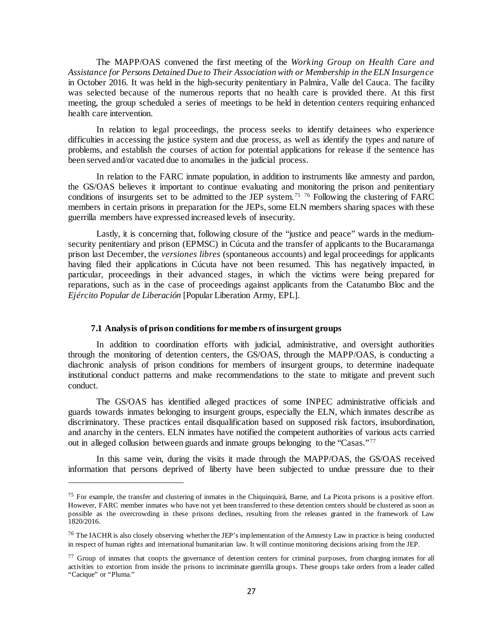The MAPP/OAS convened the first meeting of the *Working Group on Health Care and Assistance for Persons Detained Due to Their Association with or Membership in the ELN Insurgence* in October 2016. It was held in the high-security penitentiary in Palmira, Valle del Cauca. The facility was selected because of the numerous reports that no health care is provided there. At this first meeting, the group scheduled a series of meetings to be held in detention centers requiring enhanced health care intervention.

In relation to legal proceedings, the process seeks to identify detainees who experience difficulties in accessing the justice system and due process, as well as identify the types and nature of problems, and establish the courses of action for potential applications for release if the sentence has been served and/or vacated due to anomalies in the judicial process.

In relation to the FARC inmate population, in addition to instruments like amnesty and pardon, the GS/OAS believes it important to continue evaluating and monitoring the prison and penitentiary conditions of insurgents set to be admitted to the JEP system.<sup>[75](#page-26-0) [76](#page-26-1)</sup> Following the clustering of FARC members in certain prisons in preparation for the JEPs, some ELN members sharing spaces with these guerrilla members have expressed increased levels of insecurity.

Lastly, it is concerning that, following closure of the "justice and peace" wards in the mediumsecurity penitentiary and prison (EPMSC) in Cúcuta and the transfer of applicants to the Bucaramanga prison last December, the *versiones libres* (spontaneous accounts) and legal proceedings for applicants having filed their applications in Cúcuta have not been resumed. This has negatively impacted, in particular, proceedings in their advanced stages, in which the victims were being prepared for reparations, such as in the case of proceedings against applicants from the Catatumbo Bloc and the *Ejército Popular de Liberación* [Popular Liberation Army, EPL].

### **7.1 Analysis of prison conditions for members of insurgent groups**

l

In addition to coordination efforts with judicial, administrative, and oversight authorities through the monitoring of detention centers, the GS/OAS, through the MAPP/OAS, is conducting a diachronic analysis of prison conditions for members of insurgent groups, to determine inadequate institutional conduct patterns and make recommendations to the state to mitigate and prevent such conduct.

The GS/OAS has identified alleged practices of some INPEC administrative officials and guards towards inmates belonging to insurgent groups, especially the ELN, which inmates describe as discriminatory. These practices entail disqualification based on supposed risk factors, insubordination, and anarchy in the centers. ELN inmates have notified the competent authorities of various acts carried out in alleged collusion between guards and inmate groups belonging to the "Casas."<sup>[77](#page-26-2)</sup>

In this same vein, during the visits it made through the MAPP/OAS, the GS/OAS received information that persons deprived of liberty have been subjected to undue pressure due to their

<span id="page-26-0"></span><sup>75</sup> For example, the transfer and clustering of inmates in the Chiquinquirá, Barne, and La Picota prisons is a positive effort. However, FARC member inmates who have not yet been transferred to these detention centers should be clustered as soon as possible as the overcrowding in these prisons declines, resulting from the releases granted in the framework of Law 1820/2016.

<span id="page-26-1"></span> $76$  The IACHR is also closely observing whether the JEP's implementation of the Amnesty Law in practice is being conducted in respect of human rights and international humanitarian law. It will continue monitoring decisions arising from the JEP.

<span id="page-26-2"></span><sup>&</sup>lt;sup>77</sup> Group of inmates that coopts the governance of detention centers for criminal purposes, from charging inmates for all activities to extortion from inside the prisons to incriminate guerrilla groups. These groups take orders from a leader called "Cacique" or "Pluma."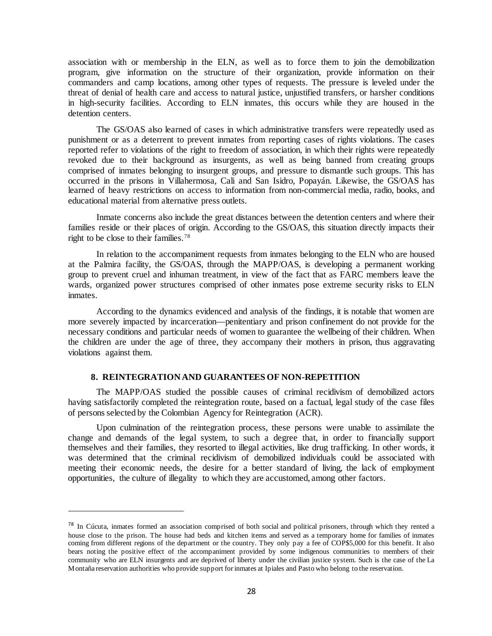association with or membership in the ELN, as well as to force them to join the demobilization program, give information on the structure of their organization, provide information on their commanders and camp locations, among other types of requests. The pressure is leveled under the threat of denial of health care and access to natural justice, unjustified transfers, or harsher conditions in high-security facilities. According to ELN inmates, this occurs while they are housed in the detention centers.

The GS/OAS also learned of cases in which administrative transfers were repeatedly used as punishment or as a deterrent to prevent inmates from reporting cases of rights violations. The cases reported refer to violations of the right to freedom of association, in which their rights were repeatedly revoked due to their background as insurgents, as well as being banned from creating groups comprised of inmates belonging to insurgent groups, and pressure to dismantle such groups. This has occurred in the prisons in Villahermosa, Cali and San Isidro, Popayán. Likewise, the GS/OAS has learned of heavy restrictions on access to information from non-commercial media, radio, books, and educational material from alternative press outlets.

Inmate concerns also include the great distances between the detention centers and where their families reside or their places of origin. According to the GS/OAS, this situation directly impacts their right to be close to their families. [78](#page-27-0)

In relation to the accompaniment requests from inmates belonging to the ELN who are housed at the Palmira facility, the GS/OAS, through the MAPP/OAS, is developing a permanent working group to prevent cruel and inhuman treatment, in view of the fact that as FARC members leave the wards, organized power structures comprised of other inmates pose extreme security risks to ELN inmates.

According to the dynamics evidenced and analysis of the findings, it is notable that women are more severely impacted by incarceration—penitentiary and prison confinement do not provide for the necessary conditions and particular needs of women to guarantee the wellbeing of their children. When the children are under the age of three, they accompany their mothers in prison, thus aggravating violations against them.

### **8. REINTEGRATION AND GUARANTEES OF NON-REPETITION**

l

The MAPP/OAS studied the possible causes of criminal recidivism of demobilized actors having satisfactorily completed the reintegration route, based on a factual, legal study of the case files of persons selected by the Colombian Agency for Reintegration (ACR).

Upon culmination of the reintegration process, these persons were unable to assimilate the change and demands of the legal system, to such a degree that, in order to financially support themselves and their families, they resorted to illegal activities, like drug trafficking. In other words, it was determined that the criminal recidivism of demobilized individuals could be associated with meeting their economic needs, the desire for a better standard of living, the lack of employment opportunities, the culture of illegality to which they are accustomed, among other factors.

<span id="page-27-0"></span><sup>&</sup>lt;sup>78</sup> In Cúcuta, inmates formed an association comprised of both social and political prisoners, through which they rented a house close to the prison. The house had beds and kitchen items and served as a temporary home for families of inmates coming from different regions of the department or the country. They only pay a fee of COP\$5,000 for this benefit. It also bears noting the positive effect of the accompaniment provided by some indigenous communities to members of their community who are ELN insurgents and are deprived of liberty under the civilian justice system. Such is the case of the La Montaña reservation authorities who provide support for inmates at Ipiales and Pasto who belong to the reservation.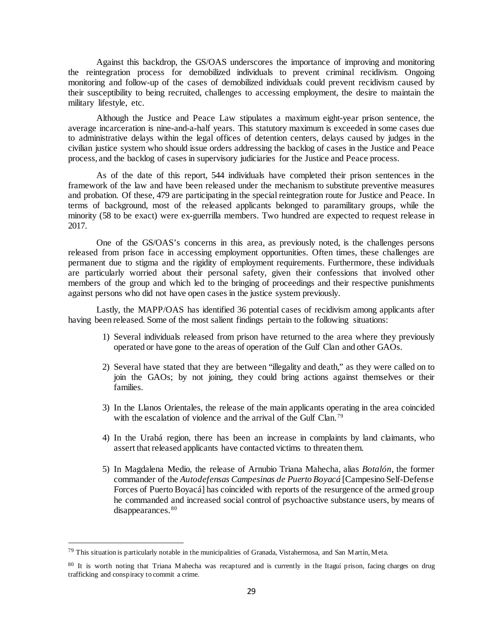Against this backdrop, the GS/OAS underscores the importance of improving and monitoring the reintegration process for demobilized individuals to prevent criminal recidivism. Ongoing monitoring and follow-up of the cases of demobilized individuals could prevent recidivism caused by their susceptibility to being recruited, challenges to accessing employment, the desire to maintain the military lifestyle, etc.

Although the Justice and Peace Law stipulates a maximum eight-year prison sentence, the average incarceration is nine-and-a-half years. This statutory maximum is exceeded in some cases due to administrative delays within the legal offices of detention centers, delays caused by judges in the civilian justice system who should issue orders addressing the backlog of cases in the Justice and Peace process, and the backlog of cases in supervisory judiciaries for the Justice and Peace process.

As of the date of this report, 544 individuals have completed their prison sentences in the framework of the law and have been released under the mechanism to substitute preventive measures and probation. Of these, 479 are participating in the special reintegration route for Justice and Peace. In terms of background, most of the released applicants belonged to paramilitary groups, while the minority (58 to be exact) were ex-guerrilla members. Two hundred are expected to request release in 2017.

One of the GS/OAS's concerns in this area, as previously noted, is the challenges persons released from prison face in accessing employment opportunities. Often times, these challenges are permanent due to stigma and the rigidity of employment requirements. Furthermore, these individuals are particularly worried about their personal safety, given their confessions that involved other members of the group and which led to the bringing of proceedings and their respective punishments against persons who did not have open cases in the justice system previously.

Lastly, the MAPP/OAS has identified 36 potential cases of recidivism among applicants after having been released. Some of the most salient findings pertain to the following situations:

- 1) Several individuals released from prison have returned to the area where they previously operated or have gone to the areas of operation of the Gulf Clan and other GAOs.
- 2) Several have stated that they are between "illegality and death," as they were called on to join the GAOs; by not joining, they could bring actions against themselves or their families.
- 3) In the Llanos Orientales, the release of the main applicants operating in the area coincided with the escalation of violence and the arrival of the Gulf Clan.<sup>[79](#page-28-0)</sup>
- 4) In the Urabá region, there has been an increase in complaints by land claimants, who assert that released applicants have contacted victims to threaten them.
- 5) In Magdalena Medio, the release of Arnubio Triana Mahecha, alias *Botalón*, the former commander of the *Autodefensas Campesinas de Puerto Boyacá* [Campesino Self-Defense Forces of Puerto Boyacá] has coincided with reports of the resurgence of the armed group he commanded and increased social control of psychoactive substance users, by means of disappearances.<sup>[80](#page-28-1)</sup>

<span id="page-28-0"></span> $^{79}$  This situation is particularly notable in the municipalities of Granada, Vistahermosa, and San Martín, Meta.

<span id="page-28-1"></span><sup>&</sup>lt;sup>80</sup> It is worth noting that Triana Mahecha was recaptured and is currently in the Itaguí prison, facing charges on drug trafficking and conspiracy to commit a crime.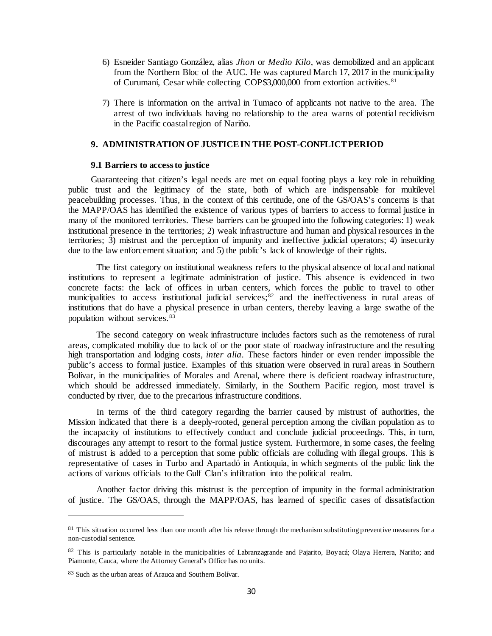- 6) Esneider Santiago González, alias *Jhon* or *Medio Kilo*, was demobilized and an applicant from the Northern Bloc of the AUC. He was captured March 17, 2017 in the municipality of Curumaní, Cesar while collecting COP\$3,000,000 from extortion activities. [81](#page-29-0)
- 7) There is information on the arrival in Tumaco of applicants not native to the area. The arrest of two individuals having no relationship to the area warns of potential recidivism in the Pacific coastal region of Nariño.

### **9. ADMINISTRATION OF JUSTICE IN THE POST-CONFLICT PERIOD**

#### **9.1 Barriers to access to justice**

Guaranteeing that citizen's legal needs are met on equal footing plays a key role in rebuilding public trust and the legitimacy of the state, both of which are indispensable for multilevel peacebuilding processes. Thus, in the context of this certitude, one of the GS/OAS's concerns is that the MAPP/OAS has identified the existence of various types of barriers to access to formal justice in many of the monitored territories. These barriers can be grouped into the following categories: 1) weak institutional presence in the territories; 2) weak infrastructure and human and physical resources in the territories; 3) mistrust and the perception of impunity and ineffective judicial operators; 4) insecurity due to the law enforcement situation; and 5) the public's lack of knowledge of their rights.

The first category on institutional weakness refers to the physical absence of local and national institutions to represent a legitimate administration of justice. This absence is evidenced in two concrete facts: the lack of offices in urban centers, which forces the public to travel to other municipalities to access institutional judicial services;<sup>[82](#page-29-1)</sup> and the ineffectiveness in rural areas of institutions that do have a physical presence in urban centers, thereby leaving a large swathe of the population without services. [83](#page-29-2)

The second category on weak infrastructure includes factors such as the remoteness of rural areas, complicated mobility due to lack of or the poor state of roadway infrastructure and the resulting high transportation and lodging costs, *inter alia*. These factors hinder or even render impossible the public's access to formal justice. Examples of this situation were observed in rural areas in Southern Bolívar, in the municipalities of Morales and Arenal, where there is deficient roadway infrastructure, which should be addressed immediately. Similarly, in the Southern Pacific region, most travel is conducted by river, due to the precarious infrastructure conditions.

In terms of the third category regarding the barrier caused by mistrust of authorities, the Mission indicated that there is a deeply-rooted, general perception among the civilian population as to the incapacity of institutions to effectively conduct and conclude judicial proceedings. This, in turn, discourages any attempt to resort to the formal justice system. Furthermore, in some cases, the feeling of mistrust is added to a perception that some public officials are colluding with illegal groups. This is representative of cases in Turbo and Apartadó in Antioquia, in which segments of the public link the actions of various officials to the Gulf Clan's infiltration into the political realm.

Another factor driving this mistrust is the perception of impunity in the formal administration of justice. The GS/OAS, through the MAPP/OAS, has learned of specific cases of dissatisfaction

<span id="page-29-0"></span> $81$  This situation occurred less than one month after his release through the mechanism substituting preventive measures for a non-custodial sentence.

<span id="page-29-1"></span><sup>82</sup> This is particularly notable in the municipalities of Labranzagrande and Pajarito, Boyacá; Olaya Herrera, Nariño; and Piamonte, Cauca, where the Attorney General's Office has no units.

<span id="page-29-2"></span><sup>83</sup> Such as the urban areas of Arauca and Southern Bolívar.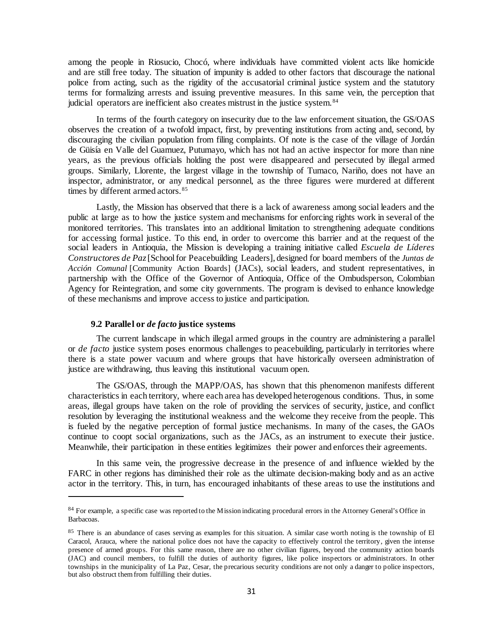among the people in Riosucio, Chocó, where individuals have committed violent acts like homicide and are still free today. The situation of impunity is added to other factors that discourage the national police from acting, such as the rigidity of the accusatorial criminal justice system and the statutory terms for formalizing arrests and issuing preventive measures. In this same vein, the perception that judicial operators are inefficient also creates mistrust in the justice system. [84](#page-30-0) 

In terms of the fourth category on insecurity due to the law enforcement situation, the GS/OAS observes the creation of a twofold impact, first, by preventing institutions from acting and, second, by discouraging the civilian population from filing complaints. Of note is the case of the village of Jordán de Güisía en Valle del Guamuez, Putumayo, which has not had an active inspector for more than nine years, as the previous officials holding the post were disappeared and persecuted by illegal armed groups. Similarly, Llorente, the largest village in the township of Tumaco, Nariño, does not have an inspector, administrator, or any medical personnel, as the three figures were murdered at different times by different armed actors.<sup>[85](#page-30-1)</sup>

Lastly, the Mission has observed that there is a lack of awareness among social leaders and the public at large as to how the justice system and mechanisms for enforcing rights work in several of the monitored territories. This translates into an additional limitation to strengthening adequate conditions for accessing formal justice. To this end, in order to overcome this barrier and at the request of the social leaders in Antioquia, the Mission is developing a training initiative called *Escuela de Líderes Constructores de Paz* [School for Peacebuilding Leaders], designed for board members of the *Juntas de Acción Comunal* [Community Action Boards] (JACs), social leaders, and student representatives, in partnership with the Office of the Governor of Antioquia, Office of the Ombudsperson, Colombian Agency for Reintegration, and some city governments. The program is devised to enhance knowledge of these mechanisms and improve access to justice and participation.

#### **9.2 Parallel or** *de facto* **justice systems**

l

The current landscape in which illegal armed groups in the country are administering a parallel or *de facto* justice system poses enormous challenges to peacebuilding, particularly in territories where there is a state power vacuum and where groups that have historically overseen administration of justice are withdrawing, thus leaving this institutional vacuum open.

The GS/OAS, through the MAPP/OAS, has shown that this phenomenon manifests different characteristics in each territory, where each area has developed heterogenous conditions. Thus, in some areas, illegal groups have taken on the role of providing the services of security, justice, and conflict resolution by leveraging the institutional weakness and the welcome they receive from the people. This is fueled by the negative perception of formal justice mechanisms. In many of the cases, the GAOs continue to coopt social organizations, such as the JACs, as an instrument to execute their justice. Meanwhile, their participation in these entities legitimizes their power and enforces their agreements.

In this same vein, the progressive decrease in the presence of and influence wielded by the FARC in other regions has diminished their role as the ultimate decision-making body and as an active actor in the territory. This, in turn, has encouraged inhabitants of these areas to use the institutions and

<span id="page-30-0"></span><sup>&</sup>lt;sup>84</sup> For example, a specific case was reported to the Mission indicating procedural errors in the Attorney General's Office in Barbacoas.

<span id="page-30-1"></span><sup>&</sup>lt;sup>85</sup> There is an abundance of cases serving as examples for this situation. A similar case worth noting is the township of El Caracol, Arauca, where the national police does not have the capacity to effectively control the territory, given the intense presence of armed groups. For this same reason, there are no other civilian figures, beyond the community action boards (JAC) and council members, to fulfill the duties of authority figures, like police inspectors or administrators. In other townships in the municipality of La Paz, Cesar, the precarious security conditions are not only a danger to police inspectors, but also obstruct them from fulfilling their duties.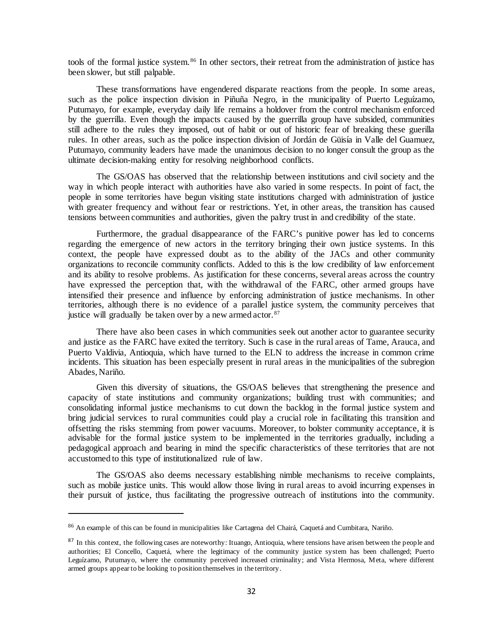tools of the formal justice system. [86](#page-31-0) In other sectors, their retreat from the administration of justice has been slower, but still palpable.

These transformations have engendered disparate reactions from the people. In some areas, such as the police inspection division in Piñuña Negro, in the municipality of Puerto Leguízamo, Putumayo, for example, everyday daily life remains a holdover from the control mechanism enforced by the guerrilla. Even though the impacts caused by the guerrilla group have subsided, communities still adhere to the rules they imposed, out of habit or out of historic fear of breaking these guerilla rules. In other areas, such as the police inspection division of Jordán de Güisía in Valle del Guamuez, Putumayo, community leaders have made the unanimous decision to no longer consult the group as the ultimate decision-making entity for resolving neighborhood conflicts.

The GS/OAS has observed that the relationship between institutions and civil society and the way in which people interact with authorities have also varied in some respects. In point of fact, the people in some territories have begun visiting state institutions charged with administration of justice with greater frequency and without fear or restrictions. Yet, in other areas, the transition has caused tensions between communities and authorities, given the paltry trust in and credibility of the state.

Furthermore, the gradual disappearance of the FARC's punitive power has led to concerns regarding the emergence of new actors in the territory bringing their own justice systems. In this context, the people have expressed doubt as to the ability of the JACs and other community organizations to reconcile community conflicts. Added to this is the low credibility of law enforcement and its ability to resolve problems. As justification for these concerns, several areas across the country have expressed the perception that, with the withdrawal of the FARC, other armed groups have intensified their presence and influence by enforcing administration of justice mechanisms. In other territories, although there is no evidence of a parallel justice system, the community perceives that justice will gradually be taken over by a new armed actor.<sup>[87](#page-31-1)</sup>

There have also been cases in which communities seek out another actor to guarantee security and justice as the FARC have exited the territory. Such is case in the rural areas of Tame, Arauca, and Puerto Valdivia, Antioquia, which have turned to the ELN to address the increase in common crime incidents. This situation has been especially present in rural areas in the municipalities of the subregion Abades, Nariño.

Given this diversity of situations, the GS/OAS believes that strengthening the presence and capacity of state institutions and community organizations; building trust with communities; and consolidating informal justice mechanisms to cut down the backlog in the formal justice system and bring judicial services to rural communities could play a crucial role in facilitating this transition and offsetting the risks stemming from power vacuums. Moreover, to bolster community acceptance, it is advisable for the formal justice system to be implemented in the territories gradually, including a pedagogical approach and bearing in mind the specific characteristics of these territories that are not accustomed to this type of institutionalized rule of law.

The GS/OAS also deems necessary establishing nimble mechanisms to receive complaints, such as mobile justice units. This would allow those living in rural areas to avoid incurring expenses in their pursuit of justice, thus facilitating the progressive outreach of institutions into the community.

<span id="page-31-0"></span><sup>86</sup> An example of this can be found in municipalities like Cartagena del Chairá, Caquetá and Cumbitara, Nariño.

<span id="page-31-1"></span><sup>&</sup>lt;sup>87</sup> In this context, the following cases are noteworthy: Ituango, Antioquia, where tensions have arisen between the people and authorities; El Concello, Caquetá, where the legitimacy of the community justice system has been challenged; Puerto Leguízamo, Putumayo, where the community perceived increased criminality; and Vista Hermosa, Meta, where different armed groups appear to be looking to position themselves in the territory.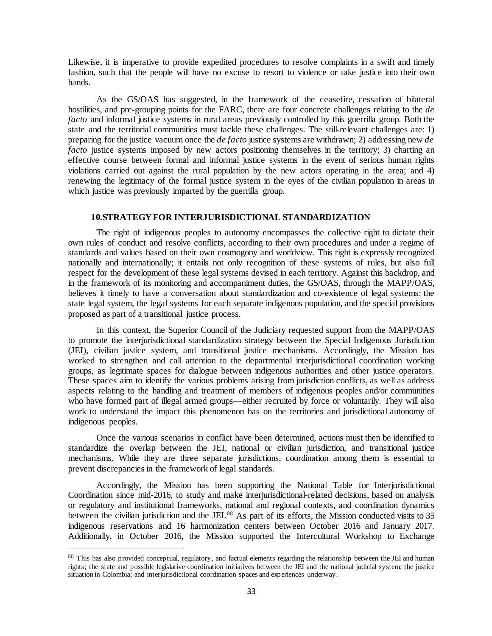Likewise, it is imperative to provide expedited procedures to resolve complaints in a swift and timely fashion, such that the people will have no excuse to resort to violence or take justice into their own hands.

As the GS/OAS has suggested, in the framework of the ceasefire, cessation of bilateral hostilities, and pre-grouping points for the FARC, there are four concrete challenges relating to the *de facto* and informal justice systems in rural areas previously controlled by this guerrilla group. Both the state and the territorial communities must tackle these challenges. The still-relevant challenges are: 1) preparing for the justice vacuum once the *de facto* justice systems are withdrawn; 2) addressing new *de facto* justice systems imposed by new actors positioning themselves in the territory; 3) charting an effective course between formal and informal justice systems in the event of serious human rights violations carried out against the rural population by the new actors operating in the area; and 4) renewing the legitimacy of the formal justice system in the eyes of the civilian population in areas in which justice was previously imparted by the guerrilla group.

### **10.STRATEGY FOR INTERJURISDICTIONAL STANDARDIZATION**

The right of indigenous peoples to autonomy encompasses the collective right to dictate their own rules of conduct and resolve conflicts, according to their own procedures and under a regime of standards and values based on their own cosmogony and worldview. This right is expressly recognized nationally and internationally; it entails not only recognition of these systems of rules, but also full respect for the development of these legal systems devised in each territory. Against this backdrop, and in the framework of its monitoring and accompaniment duties, the GS/OAS, through the MAPP/OAS, believes it timely to have a conversation about standardization and co-existence of legal systems: the state legal system, the legal systems for each separate indigenous population, and the special provisions proposed as part of a transitional justice process.

In this context, the Superior Council of the Judiciary requested support from the MAPP/OAS to promote the interjurisdictional standardization strategy between the Special Indigenous Jurisdiction (JEI), civilian justice system, and transitional justice mechanisms. Accordingly, the Mission has worked to strengthen and call attention to the departmental interjurisdictional coordination working groups, as legitimate spaces for dialogue between indigenous authorities and other justice operators. These spaces aim to identify the various problems arising from jurisdiction conflicts, as well as address aspects relating to the handling and treatment of members of indigenous peoples and/or communities who have formed part of illegal armed groups—either recruited by force or voluntarily. They will also work to understand the impact this phenomenon has on the territories and jurisdictional autonomy of indigenous peoples.

Once the various scenarios in conflict have been determined, actions must then be identified to standardize the overlap between the JEI, national or civilian jurisdiction, and transitional justice mechanisms. While they are three separate jurisdictions, coordination among them is essential to prevent discrepancies in the framework of legal standards.

Accordingly, the Mission has been supporting the National Table for Interjurisdictional Coordination since mid-2016, to study and make interjurisdictional-related decisions, based on analysis or regulatory and institutional frameworks, national and regional contexts, and coordination dynamics between the civilian jurisdiction and the JEI.<sup>[88](#page-32-0)</sup> As part of its efforts, the Mission conducted visits to 35 indigenous reservations and 16 harmonization centers between October 2016 and January 2017. Additionally, in October 2016, the Mission supported the Intercultural Workshop to Exchange

<span id="page-32-0"></span><sup>&</sup>lt;sup>88</sup> This has also provided conceptual, regulatory, and factual elements regarding the relationship between the JEI and human rights; the state and possible legislative coordination initiatives between the JEI and the national judicial system; the justice situation in Colombia; and interjurisdictional coordination spaces and experiences underway.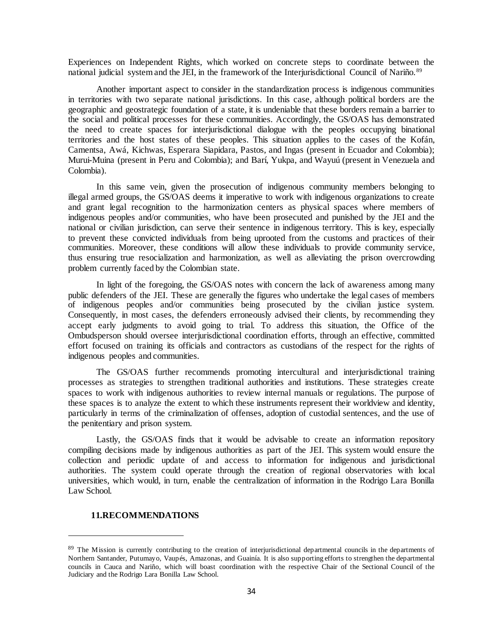Experiences on Independent Rights, which worked on concrete steps to coordinate between the national judicial system and the JEI, in the framework of the Interjurisdictional Council of Nariño.<sup>[89](#page-33-0)</sup>

Another important aspect to consider in the standardization process is indigenous communities in territories with two separate national jurisdictions. In this case, although political borders are the geographic and geostrategic foundation of a state, it is undeniable that these borders remain a barrier to the social and political processes for these communities. Accordingly, the GS/OAS has demonstrated the need to create spaces for interjurisdictional dialogue with the peoples occupying binational territories and the host states of these peoples. This situation applies to the cases of the Kofán, Camentsa, Awá, Kichwas, Esperara Siapidara, Pastos, and Ingas (present in Ecuador and Colombia); Murui-Muina (present in Peru and Colombia); and Barí, Yukpa, and Wayuú (present in Venezuela and Colombia).

In this same vein, given the prosecution of indigenous community members belonging to illegal armed groups, the GS/OAS deems it imperative to work with indigenous organizations to create and grant legal recognition to the harmonization centers as physical spaces where members of indigenous peoples and/or communities, who have been prosecuted and punished by the JEI and the national or civilian jurisdiction, can serve their sentence in indigenous territory. This is key, especially to prevent these convicted individuals from being uprooted from the customs and practices of their communities. Moreover, these conditions will allow these individuals to provide community service, thus ensuring true resocialization and harmonization, as well as alleviating the prison overcrowding problem currently faced by the Colombian state.

In light of the foregoing, the GS/OAS notes with concern the lack of awareness among many public defenders of the JEI. These are generally the figures who undertake the legal cases of members of indigenous peoples and/or communities being prosecuted by the civilian justice system. Consequently, in most cases, the defenders erroneously advised their clients, by recommending they accept early judgments to avoid going to trial. To address this situation, the Office of the Ombudsperson should oversee interjurisdictional coordination efforts, through an effective, committed effort focused on training its officials and contractors as custodians of the respect for the rights of indigenous peoples and communities.

The GS/OAS further recommends promoting intercultural and interjurisdictional training processes as strategies to strengthen traditional authorities and institutions. These strategies create spaces to work with indigenous authorities to review internal manuals or regulations. The purpose of these spaces is to analyze the extent to which these instruments represent their worldview and identity, particularly in terms of the criminalization of offenses, adoption of custodial sentences, and the use of the penitentiary and prison system.

Lastly, the GS/OAS finds that it would be advisable to create an information repository compiling decisions made by indigenous authorities as part of the JEI. This system would ensure the collection and periodic update of and access to information for indigenous and jurisdictional authorities. The system could operate through the creation of regional observatories with local universities, which would, in turn, enable the centralization of information in the Rodrigo Lara Bonilla Law School.

## **11.RECOMMENDATIONS**

<span id="page-33-0"></span><sup>&</sup>lt;sup>89</sup> The Mission is currently contributing to the creation of interjurisdictional departmental councils in the departments of Northern Santander, Putumayo, Vaupés, Amazonas, and Guainía. It is also supporting efforts to strengthen the departmental councils in Cauca and Nariño, which will boast coordination with the respective Chair of the Sectional Council of the Judiciary and the Rodrigo Lara Bonilla Law School.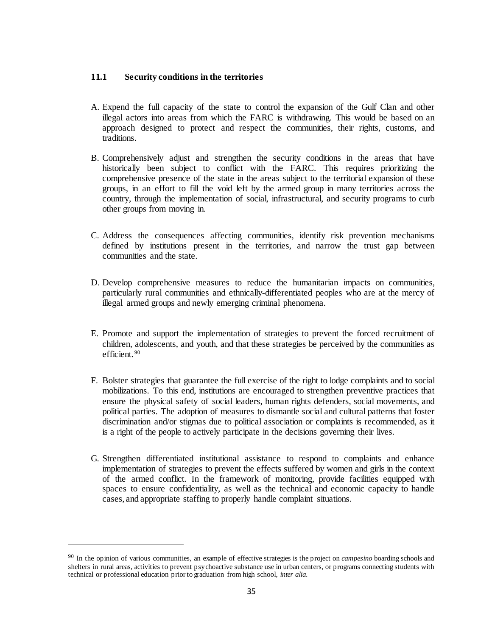# **11.1 Security conditions in the territories**

- A. Expend the full capacity of the state to control the expansion of the Gulf Clan and other illegal actors into areas from which the FARC is withdrawing. This would be based on an approach designed to protect and respect the communities, their rights, customs, and traditions.
- B. Comprehensively adjust and strengthen the security conditions in the areas that have historically been subject to conflict with the FARC. This requires prioritizing the comprehensive presence of the state in the areas subject to the territorial expansion of these groups, in an effort to fill the void left by the armed group in many territories across the country, through the implementation of social, infrastructural, and security programs to curb other groups from moving in.
- C. Address the consequences affecting communities, identify risk prevention mechanisms defined by institutions present in the territories, and narrow the trust gap between communities and the state.
- D. Develop comprehensive measures to reduce the humanitarian impacts on communities, particularly rural communities and ethnically-differentiated peoples who are at the mercy of illegal armed groups and newly emerging criminal phenomena.
- E. Promote and support the implementation of strategies to prevent the forced recruitment of children, adolescents, and youth, and that these strategies be perceived by the communities as efficient. [90](#page-34-0)
- F. Bolster strategies that guarantee the full exercise of the right to lodge complaints and to social mobilizations. To this end, institutions are encouraged to strengthen preventive practices that ensure the physical safety of social leaders, human rights defenders, social movements, and political parties. The adoption of measures to dismantle social and cultural patterns that foster discrimination and/or stigmas due to political association or complaints is recommended, as it is a right of the people to actively participate in the decisions governing their lives.
- G. Strengthen differentiated institutional assistance to respond to complaints and enhance implementation of strategies to prevent the effects suffered by women and girls in the context of the armed conflict. In the framework of monitoring, provide facilities equipped with spaces to ensure confidentiality, as well as the technical and economic capacity to handle cases, and appropriate staffing to properly handle complaint situations.

<span id="page-34-0"></span><sup>90</sup> In the opinion of various communities, an example of effective strategies is the project on *campesino* boarding schools and shelters in rural areas, activities to prevent psychoactive substance use in urban centers, or programs connecting students with technical or professional education prior to graduation from high school, *inter alia.*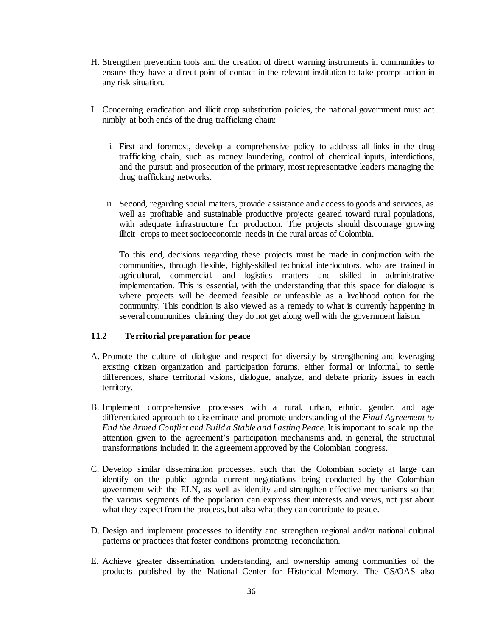- H. Strengthen prevention tools and the creation of direct warning instruments in communities to ensure they have a direct point of contact in the relevant institution to take prompt action in any risk situation.
- I. Concerning eradication and illicit crop substitution policies, the national government must act nimbly at both ends of the drug trafficking chain:
	- i. First and foremost, develop a comprehensive policy to address all links in the drug trafficking chain, such as money laundering, control of chemical inputs, interdictions, and the pursuit and prosecution of the primary, most representative leaders managing the drug trafficking networks.
	- ii. Second, regarding social matters, provide assistance and access to goods and services, as well as profitable and sustainable productive projects geared toward rural populations, with adequate infrastructure for production. The projects should discourage growing illicit crops to meet socioeconomic needs in the rural areas of Colombia.

To this end, decisions regarding these projects must be made in conjunction with the communities, through flexible, highly-skilled technical interlocutors, who are trained in agricultural, commercial, and logistics matters and skilled in administrative implementation. This is essential, with the understanding that this space for dialogue is where projects will be deemed feasible or unfeasible as a livelihood option for the community. This condition is also viewed as a remedy to what is currently happening in several communities claiming they do not get along well with the government liaison.

# **11.2 Territorial preparation for peace**

- A. Promote the culture of dialogue and respect for diversity by strengthening and leveraging existing citizen organization and participation forums, either formal or informal, to settle differences, share territorial visions, dialogue, analyze, and debate priority issues in each territory.
- B. Implement comprehensive processes with a rural, urban, ethnic, gender, and age differentiated approach to disseminate and promote understanding of the *Final Agreement to End the Armed Conflict and Build a Stable and Lasting Peace*. It is important to scale up the attention given to the agreement's participation mechanisms and, in general, the structural transformations included in the agreement approved by the Colombian congress.
- C. Develop similar dissemination processes, such that the Colombian society at large can identify on the public agenda current negotiations being conducted by the Colombian government with the ELN, as well as identify and strengthen effective mechanisms so that the various segments of the population can express their interests and views, not just about what they expect from the process, but also what they can contribute to peace.
- D. Design and implement processes to identify and strengthen regional and/or national cultural patterns or practices that foster conditions promoting reconciliation.
- E. Achieve greater dissemination, understanding, and ownership among communities of the products published by the National Center for Historical Memory. The GS/OAS also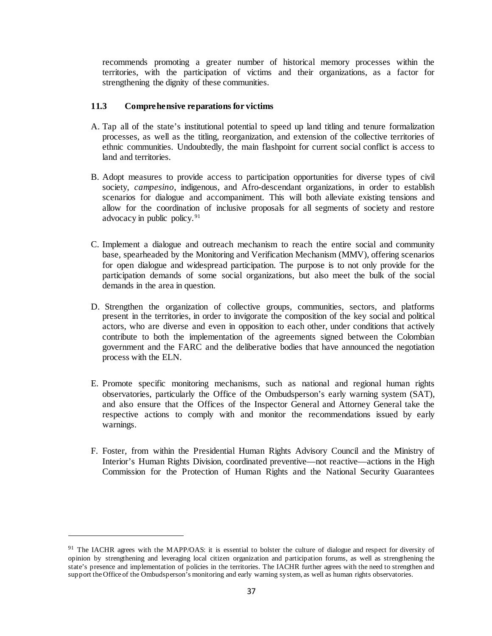recommends promoting a greater number of historical memory processes within the territories, with the participation of victims and their organizations, as a factor for strengthening the dignity of these communities.

## **11.3 Comprehensive reparations for victims**

- A. Tap all of the state's institutional potential to speed up land titling and tenure formalization processes, as well as the titling, reorganization, and extension of the collective territories of ethnic communities. Undoubtedly, the main flashpoint for current social conflict is access to land and territories.
- B. Adopt measures to provide access to participation opportunities for diverse types of civil society, *campesino*, indigenous, and Afro-descendant organizations, in order to establish scenarios for dialogue and accompaniment. This will both alleviate existing tensions and allow for the coordination of inclusive proposals for all segments of society and restore advocacy in public policy. [91](#page-36-0)
- C. Implement a dialogue and outreach mechanism to reach the entire social and community base, spearheaded by the Monitoring and Verification Mechanism (MMV), offering scenarios for open dialogue and widespread participation. The purpose is to not only provide for the participation demands of some social organizations, but also meet the bulk of the social demands in the area in question.
- D. Strengthen the organization of collective groups, communities, sectors, and platforms present in the territories, in order to invigorate the composition of the key social and political actors, who are diverse and even in opposition to each other, under conditions that actively contribute to both the implementation of the agreements signed between the Colombian government and the FARC and the deliberative bodies that have announced the negotiation process with the ELN.
- E. Promote specific monitoring mechanisms, such as national and regional human rights observatories, particularly the Office of the Ombudsperson's early warning system (SAT), and also ensure that the Offices of the Inspector General and Attorney General take the respective actions to comply with and monitor the recommendations issued by early warnings.
- F. Foster, from within the Presidential Human Rights Advisory Council and the Ministry of Interior's Human Rights Division, coordinated preventive—not reactive—actions in the High Commission for the Protection of Human Rights and the National Security Guarantees

<span id="page-36-0"></span><sup>&</sup>lt;sup>91</sup> The IACHR agrees with the MAPP/OAS: it is essential to bolster the culture of dialogue and respect for diversity of opinion by strengthening and leveraging local citizen organization and participation forums, as well as strengthening the state's presence and implementation of policies in the territories. The IACHR further agrees with the need to strengthen and support the Office of the Ombudsperson's monitoring and early warning system, as well as human rights observatories.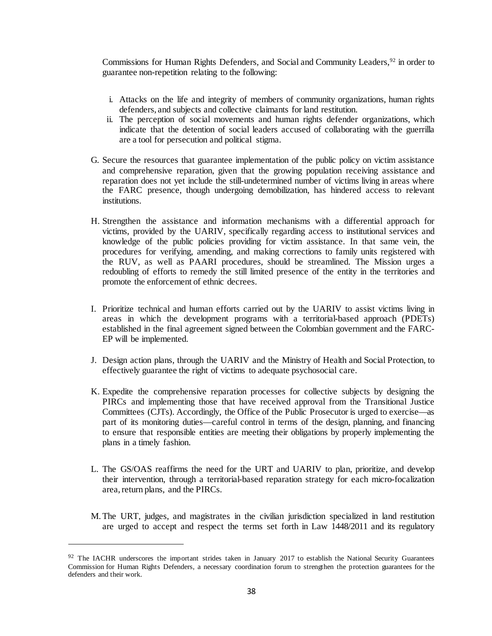Commissions for Human Rights Defenders, and Social and Community Leaders,<sup>92</sup> in order to guarantee non-repetition relating to the following:

- i. Attacks on the life and integrity of members of community organizations, human rights defenders, and subjects and collective claimants for land restitution.
- ii. The perception of social movements and human rights defender organizations, which indicate that the detention of social leaders accused of collaborating with the guerrilla are a tool for persecution and political stigma.
- G. Secure the resources that guarantee implementation of the public policy on victim assistance and comprehensive reparation, given that the growing population receiving assistance and reparation does not yet include the still-undetermined number of victims living in areas where the FARC presence, though undergoing demobilization, has hindered access to relevant institutions.
- H. Strengthen the assistance and information mechanisms with a differential approach for victims, provided by the UARIV, specifically regarding access to institutional services and knowledge of the public policies providing for victim assistance. In that same vein, the procedures for verifying, amending, and making corrections to family units registered with the RUV, as well as PAARI procedures, should be streamlined. The Mission urges a redoubling of efforts to remedy the still limited presence of the entity in the territories and promote the enforcement of ethnic decrees.
- I. Prioritize technical and human efforts carried out by the UARIV to assist victims living in areas in which the development programs with a territorial-based approach (PDETs) established in the final agreement signed between the Colombian government and the FARC-EP will be implemented.
- J. Design action plans, through the UARIV and the Ministry of Health and Social Protection, to effectively guarantee the right of victims to adequate psychosocial care.
- K. Expedite the comprehensive reparation processes for collective subjects by designing the PIRCs and implementing those that have received approval from the Transitional Justice Committees (CJTs). Accordingly, the Office of the Public Prosecutor is urged to exercise—as part of its monitoring duties—careful control in terms of the design, planning, and financing to ensure that responsible entities are meeting their obligations by properly implementing the plans in a timely fashion.
- L. The GS/OAS reaffirms the need for the URT and UARIV to plan, prioritize, and develop their intervention, through a territorial-based reparation strategy for each micro-focalization area, return plans, and the PIRCs.
- M.The URT, judges, and magistrates in the civilian jurisdiction specialized in land restitution are urged to accept and respect the terms set forth in Law 1448/2011 and its regulatory

<span id="page-37-0"></span> $92$  The IACHR underscores the important strides taken in January 2017 to establish the National Security Guarantees Commission for Human Rights Defenders, a necessary coordination forum to strengthen the protection guarantees for the defenders and their work.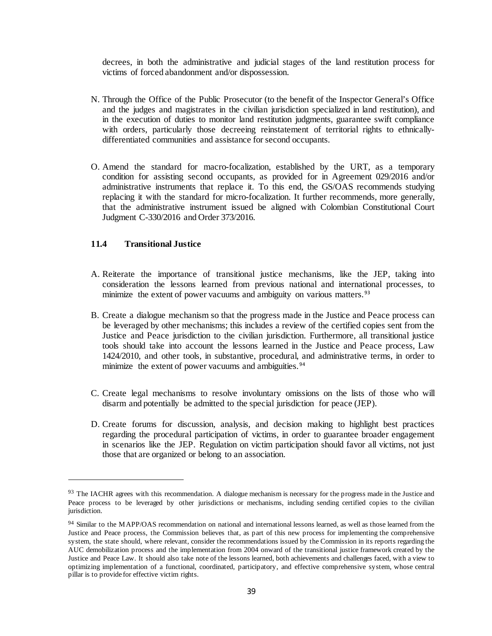decrees, in both the administrative and judicial stages of the land restitution process for victims of forced abandonment and/or dispossession.

- N. Through the Office of the Public Prosecutor (to the benefit of the Inspector General's Office and the judges and magistrates in the civilian jurisdiction specialized in land restitution), and in the execution of duties to monitor land restitution judgments, guarantee swift compliance with orders, particularly those decreeing reinstatement of territorial rights to ethnicallydifferentiated communities and assistance for second occupants.
- O. Amend the standard for macro-focalization, established by the URT, as a temporary condition for assisting second occupants, as provided for in Agreement 029/2016 and/or administrative instruments that replace it. To this end, the GS/OAS recommends studying replacing it with the standard for micro-focalization. It further recommends, more generally, that the administrative instrument issued be aligned with Colombian Constitutional Court Judgment C-330/2016 and Order 373/2016.

## **11.4 Transitional Justice**

- A. Reiterate the importance of transitional justice mechanisms, like the JEP, taking into consideration the lessons learned from previous national and international processes, to minimize the extent of power vacuums and ambiguity on various matters.<sup>[93](#page-38-0)</sup>
- B. Create a dialogue mechanism so that the progress made in the Justice and Peace process can be leveraged by other mechanisms; this includes a review of the certified copies sent from the Justice and Peace jurisdiction to the civilian jurisdiction. Furthermore, all transitional justice tools should take into account the lessons learned in the Justice and Peace process, Law 1424/2010, and other tools, in substantive, procedural, and administrative terms, in order to minimize the extent of power vacuums and ambiguities.<sup>[94](#page-38-1)</sup>
- C. Create legal mechanisms to resolve involuntary omissions on the lists of those who will disarm and potentially be admitted to the special jurisdiction for peace (JEP).
- D. Create forums for discussion, analysis, and decision making to highlight best practices regarding the procedural participation of victims, in order to guarantee broader engagement in scenarios like the JEP. Regulation on victim participation should favor all victims, not just those that are organized or belong to an association.

<span id="page-38-0"></span><sup>93</sup> The IACHR agrees with this recommendation. A dialogue mechanism is necessary for the progress made in the Justice and Peace process to be leveraged by other jurisdictions or mechanisms, including sending certified copies to the civilian jurisdiction.

<span id="page-38-1"></span><sup>94</sup> Similar to the MAPP/OAS recommendation on national and international lessons learned, as well as those learned from the Justice and Peace process, the Commission believes that, as part of this new process for implementing the comprehensive system, the state should, where relevant, consider the recommendations issued by the Commission in its reports regarding the AUC demobilization process and the implementation from 2004 onward of the transitional justice framework created by the Justice and Peace Law. It should also take note of the lessons learned, both achievements and challenges faced, with a view to optimizing implementation of a functional, coordinated, participatory, and effective comprehensive system, whose central pillar is to provide for effective victim rights.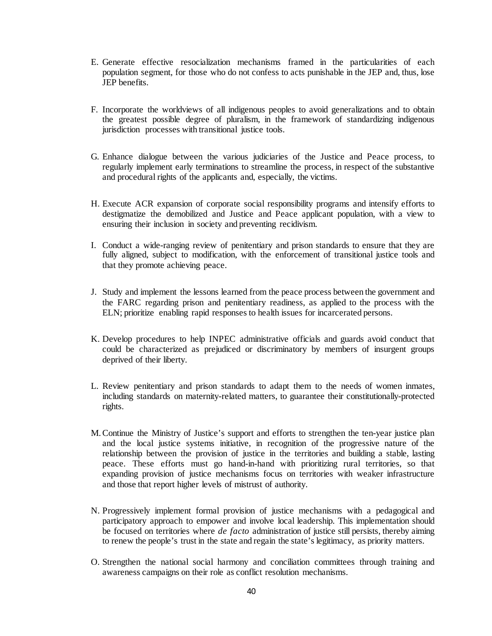- E. Generate effective resocialization mechanisms framed in the particularities of each population segment, for those who do not confess to acts punishable in the JEP and, thus, lose JEP benefits.
- F. Incorporate the worldviews of all indigenous peoples to avoid generalizations and to obtain the greatest possible degree of pluralism, in the framework of standardizing indigenous jurisdiction processes with transitional justice tools.
- G. Enhance dialogue between the various judiciaries of the Justice and Peace process, to regularly implement early terminations to streamline the process, in respect of the substantive and procedural rights of the applicants and, especially, the victims.
- H. Execute ACR expansion of corporate social responsibility programs and intensify efforts to destigmatize the demobilized and Justice and Peace applicant population, with a view to ensuring their inclusion in society and preventing recidivism.
- I. Conduct a wide-ranging review of penitentiary and prison standards to ensure that they are fully aligned, subject to modification, with the enforcement of transitional justice tools and that they promote achieving peace.
- J. Study and implement the lessons learned from the peace process between the government and the FARC regarding prison and penitentiary readiness, as applied to the process with the ELN; prioritize enabling rapid responses to health issues for incarcerated persons.
- K. Develop procedures to help INPEC administrative officials and guards avoid conduct that could be characterized as prejudiced or discriminatory by members of insurgent groups deprived of their liberty.
- L. Review penitentiary and prison standards to adapt them to the needs of women inmates, including standards on maternity-related matters, to guarantee their constitutionally-protected rights.
- M.Continue the Ministry of Justice's support and efforts to strengthen the ten-year justice plan and the local justice systems initiative, in recognition of the progressive nature of the relationship between the provision of justice in the territories and building a stable, lasting peace. These efforts must go hand-in-hand with prioritizing rural territories, so that expanding provision of justice mechanisms focus on territories with weaker infrastructure and those that report higher levels of mistrust of authority.
- N. Progressively implement formal provision of justice mechanisms with a pedagogical and participatory approach to empower and involve local leadership. This implementation should be focused on territories where *de facto* administration of justice still persists, thereby aiming to renew the people's trust in the state and regain the state's legitimacy, as priority matters.
- O. Strengthen the national social harmony and conciliation committees through training and awareness campaigns on their role as conflict resolution mechanisms.